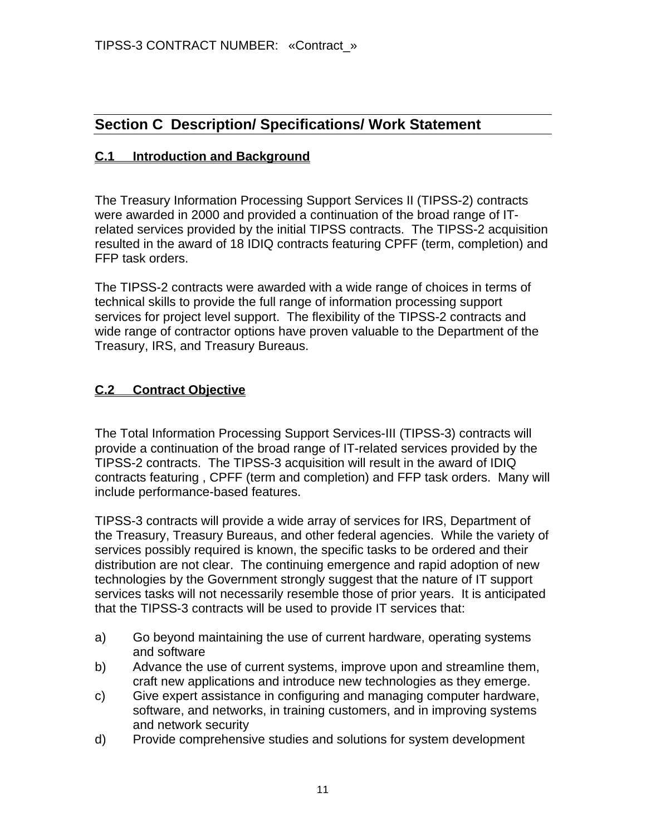# **Section C Description/ Specifications/ Work Statement**

#### **C.1 Introduction and Background**

The Treasury Information Processing Support Services II (TIPSS-2) contracts were awarded in 2000 and provided a continuation of the broad range of ITrelated services provided by the initial TIPSS contracts. The TIPSS-2 acquisition resulted in the award of 18 IDIQ contracts featuring CPFF (term, completion) and FFP task orders.

The TIPSS-2 contracts were awarded with a wide range of choices in terms of technical skills to provide the full range of information processing support services for project level support. The flexibility of the TIPSS-2 contracts and wide range of contractor options have proven valuable to the Department of the Treasury, IRS, and Treasury Bureaus.

#### **C.2 Contract Objective**

The Total Information Processing Support Services-III (TIPSS-3) contracts will provide a continuation of the broad range of IT-related services provided by the TIPSS-2 contracts. The TIPSS-3 acquisition will result in the award of IDIQ contracts featuring , CPFF (term and completion) and FFP task orders. Many will include performance-based features.

TIPSS-3 contracts will provide a wide array of services for IRS, Department of the Treasury, Treasury Bureaus, and other federal agencies. While the variety of services possibly required is known, the specific tasks to be ordered and their distribution are not clear. The continuing emergence and rapid adoption of new technologies by the Government strongly suggest that the nature of IT support services tasks will not necessarily resemble those of prior years. It is anticipated that the TIPSS-3 contracts will be used to provide IT services that:

- a) Go beyond maintaining the use of current hardware, operating systems and software
- b) Advance the use of current systems, improve upon and streamline them, craft new applications and introduce new technologies as they emerge.
- c) Give expert assistance in configuring and managing computer hardware, software, and networks, in training customers, and in improving systems and network security
- d) Provide comprehensive studies and solutions for system development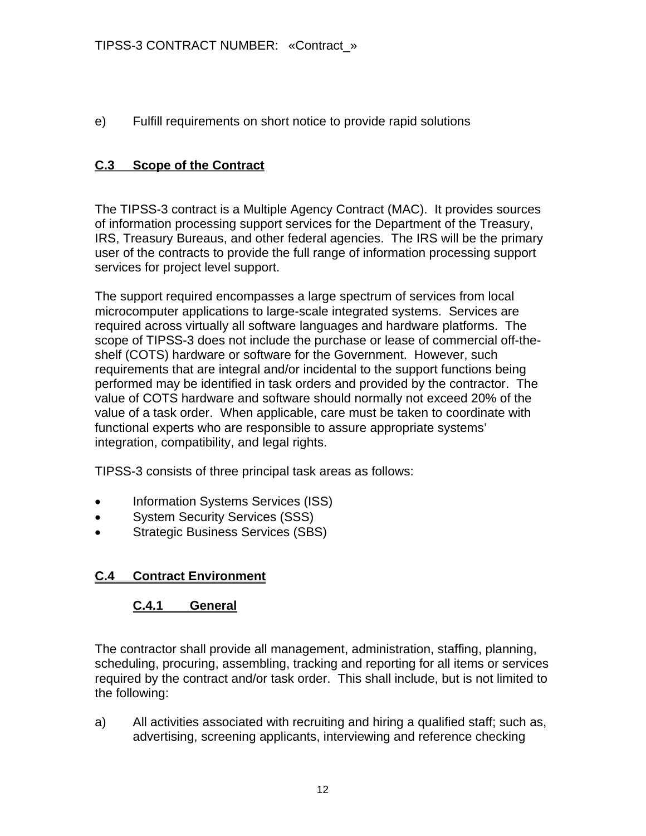e) Fulfill requirements on short notice to provide rapid solutions

### **C.3 Scope of the Contract**

The TIPSS-3 contract is a Multiple Agency Contract (MAC). It provides sources of information processing support services for the Department of the Treasury, IRS, Treasury Bureaus, and other federal agencies. The IRS will be the primary user of the contracts to provide the full range of information processing support services for project level support.

The support required encompasses a large spectrum of services from local microcomputer applications to large-scale integrated systems. Services are required across virtually all software languages and hardware platforms. The scope of TIPSS-3 does not include the purchase or lease of commercial off-theshelf (COTS) hardware or software for the Government. However, such requirements that are integral and/or incidental to the support functions being performed may be identified in task orders and provided by the contractor. The value of COTS hardware and software should normally not exceed 20% of the value of a task order. When applicable, care must be taken to coordinate with functional experts who are responsible to assure appropriate systems' integration, compatibility, and legal rights.

TIPSS-3 consists of three principal task areas as follows:

- Information Systems Services (ISS)
- **System Security Services (SSS)**
- Strategic Business Services (SBS)

# **C.4 Contract Environment**

### **C.4.1 General**

The contractor shall provide all management, administration, staffing, planning, scheduling, procuring, assembling, tracking and reporting for all items or services required by the contract and/or task order. This shall include, but is not limited to the following:

a) All activities associated with recruiting and hiring a qualified staff; such as, advertising, screening applicants, interviewing and reference checking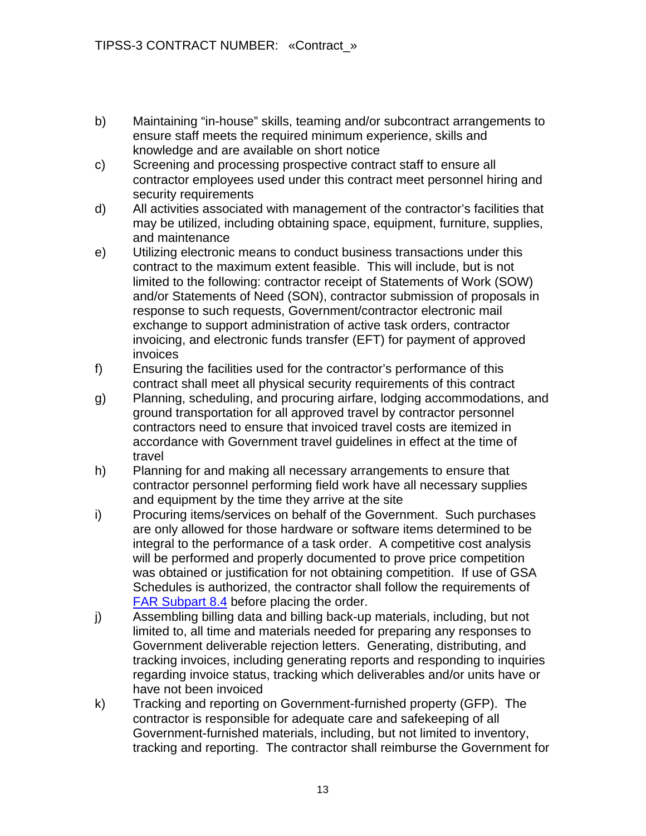- b) Maintaining "in-house" skills, teaming and/or subcontract arrangements to ensure staff meets the required minimum experience, skills and knowledge and are available on short notice
- c) Screening and processing prospective contract staff to ensure all contractor employees used under this contract meet personnel hiring and security requirements
- d) All activities associated with management of the contractor's facilities that may be utilized, including obtaining space, equipment, furniture, supplies, and maintenance
- e) Utilizing electronic means to conduct business transactions under this contract to the maximum extent feasible. This will include, but is not limited to the following: contractor receipt of Statements of Work (SOW) and/or Statements of Need (SON), contractor submission of proposals in response to such requests, Government/contractor electronic mail exchange to support administration of active task orders, contractor invoicing, and electronic funds transfer (EFT) for payment of approved invoices
- f) Ensuring the facilities used for the contractor's performance of this contract shall meet all physical security requirements of this contract
- g) Planning, scheduling, and procuring airfare, lodging accommodations, and ground transportation for all approved travel by contractor personnel contractors need to ensure that invoiced travel costs are itemized in accordance with Government travel guidelines in effect at the time of travel
- h) Planning for and making all necessary arrangements to ensure that contractor personnel performing field work have all necessary supplies and equipment by the time they arrive at the site
- i) Procuring items/services on behalf of the Government. Such purchases are only allowed for those hardware or software items determined to be integral to the performance of a task order. A competitive cost analysis will be performed and properly documented to prove price competition was obtained or justification for not obtaining competition. If use of GSA Schedules is authorized, the contractor shall follow the requirements of **[FAR Subpart 8.4](http://www.acqnet.gov/far/current/html/Subpart%208_4.html#wp1089480) before placing the order.**
- j) Assembling billing data and billing back-up materials, including, but not limited to, all time and materials needed for preparing any responses to Government deliverable rejection letters. Generating, distributing, and tracking invoices, including generating reports and responding to inquiries regarding invoice status, tracking which deliverables and/or units have or have not been invoiced
- k) Tracking and reporting on Government-furnished property (GFP). The contractor is responsible for adequate care and safekeeping of all Government-furnished materials, including, but not limited to inventory, tracking and reporting. The contractor shall reimburse the Government for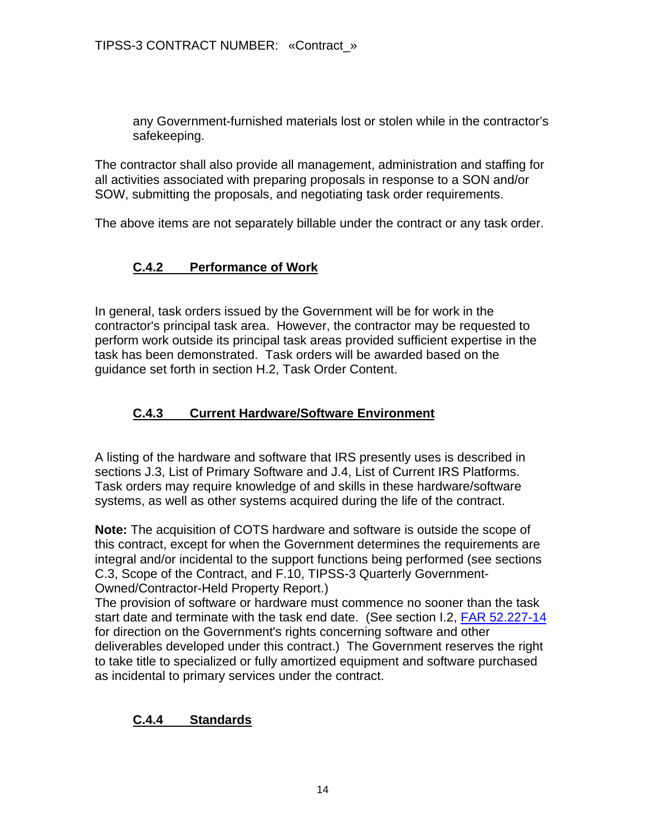any Government-furnished materials lost or stolen while in the contractor's safekeeping.

The contractor shall also provide all management, administration and staffing for all activities associated with preparing proposals in response to a SON and/or SOW, submitting the proposals, and negotiating task order requirements.

The above items are not separately billable under the contract or any task order.

# **C.4.2 Performance of Work**

In general, task orders issued by the Government will be for work in the contractor's principal task area. However, the contractor may be requested to perform work outside its principal task areas provided sufficient expertise in the task has been demonstrated. Task orders will be awarded based on the guidance set forth in section H.2, Task Order Content.

### **C.4.3 Current Hardware/Software Environment**

A listing of the hardware and software that IRS presently uses is described in sections J.3, List of Primary Software and J.4, List of Current IRS Platforms. Task orders may require knowledge of and skills in these hardware/software systems, as well as other systems acquired during the life of the contract.

**Note:** The acquisition of COTS hardware and software is outside the scope of this contract, except for when the Government determines the requirements are integral and/or incidental to the support functions being performed (see sections C.3, Scope of the Contract, and F.10, TIPSS-3 Quarterly Government-Owned/Contractor-Held Property Report.)

The provision of software or hardware must commence no sooner than the task start date and terminate with the task end date. (See section I.2, [FAR 52.227-14](http://www.acqnet.gov/far/current/html/52_227.html#wp1139363) for direction on the Government's rights concerning software and other deliverables developed under this contract.) The Government reserves the right to take title to specialized or fully amortized equipment and software purchased as incidental to primary services under the contract.

### **C.4.4 Standards**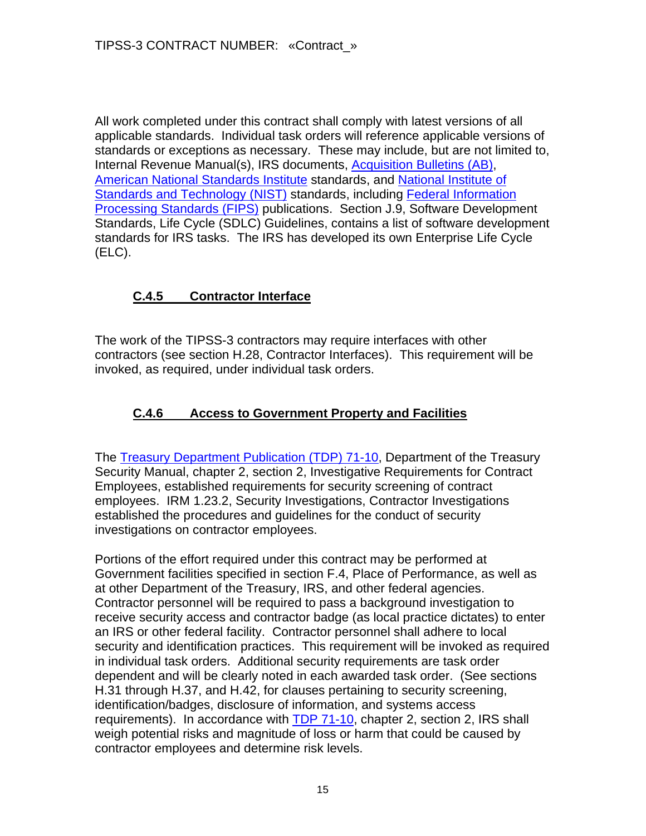All work completed under this contract shall comply with latest versions of all applicable standards. Individual task orders will reference applicable versions of standards or exceptions as necessary. These may include, but are not limited to, Internal Revenue Manual(s), IRS documents, [Acquisition Bulletins \(AB\)](http://www.treas.gov/offices/management/dcfo/procurement/policy/index.shtml), [American National Standards Institute](http://www.ansi.org/) standards, and [National Institute of](http://www.nist.gov/)  [Standards and Technology \(NIST\)](http://www.nist.gov/) standards, including [Federal Information](http://www.itl.nist.gov/fipspubs/)  [Processing Standards \(FIPS\)](http://www.itl.nist.gov/fipspubs/) publications. Section J.9, Software Development Standards, Life Cycle (SDLC) Guidelines, contains a list of software development standards for IRS tasks. The IRS has developed its own Enterprise Life Cycle (ELC).

# **C.4.5 Contractor Interface**

The work of the TIPSS-3 contractors may require interfaces with other contractors (see section H.28, Contractor Interfaces). This requirement will be invoked, as required, under individual task orders.

# **C.4.6 Access to Government Property and Facilities**

The **Treasury Department Publication (TDP) 71-10**, Department of the Treasury Security Manual, chapter 2, section 2, Investigative Requirements for Contract Employees, established requirements for security screening of contract employees. IRM 1.23.2, Security Investigations, Contractor Investigations established the procedures and guidelines for the conduct of security investigations on contractor employees.

Portions of the effort required under this contract may be performed at Government facilities specified in section F.4, Place of Performance, as well as at other Department of the Treasury, IRS, and other federal agencies. Contractor personnel will be required to pass a background investigation to receive security access and contractor badge (as local practice dictates) to enter an IRS or other federal facility. Contractor personnel shall adhere to local security and identification practices. This requirement will be invoked as required in individual task orders. Additional security requirements are task order dependent and will be clearly noted in each awarded task order. (See sections H.31 through H.37, and H.42, for clauses pertaining to security screening, identification/badges, disclosure of information, and systems access requirements). In accordance with [TDP 71-10](http://www.treas.gov/regs/td00-03.htm), chapter 2, section 2, IRS shall weigh potential risks and magnitude of loss or harm that could be caused by contractor employees and determine risk levels.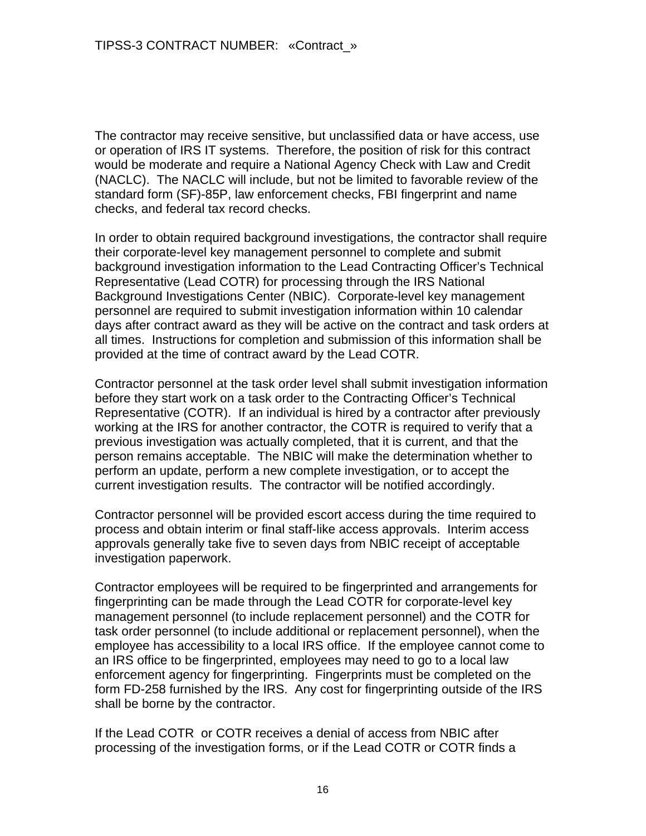The contractor may receive sensitive, but unclassified data or have access, use or operation of IRS IT systems. Therefore, the position of risk for this contract would be moderate and require a National Agency Check with Law and Credit (NACLC). The NACLC will include, but not be limited to favorable review of the standard form (SF)-85P, law enforcement checks, FBI fingerprint and name checks, and federal tax record checks.

In order to obtain required background investigations, the contractor shall require their corporate-level key management personnel to complete and submit background investigation information to the Lead Contracting Officer's Technical Representative (Lead COTR) for processing through the IRS National Background Investigations Center (NBIC). Corporate-level key management personnel are required to submit investigation information within 10 calendar days after contract award as they will be active on the contract and task orders at all times. Instructions for completion and submission of this information shall be provided at the time of contract award by the Lead COTR.

Contractor personnel at the task order level shall submit investigation information before they start work on a task order to the Contracting Officer's Technical Representative (COTR). If an individual is hired by a contractor after previously working at the IRS for another contractor, the COTR is required to verify that a previous investigation was actually completed, that it is current, and that the person remains acceptable. The NBIC will make the determination whether to perform an update, perform a new complete investigation, or to accept the current investigation results. The contractor will be notified accordingly.

Contractor personnel will be provided escort access during the time required to process and obtain interim or final staff-like access approvals. Interim access approvals generally take five to seven days from NBIC receipt of acceptable investigation paperwork.

Contractor employees will be required to be fingerprinted and arrangements for fingerprinting can be made through the Lead COTR for corporate-level key management personnel (to include replacement personnel) and the COTR for task order personnel (to include additional or replacement personnel), when the employee has accessibility to a local IRS office. If the employee cannot come to an IRS office to be fingerprinted, employees may need to go to a local law enforcement agency for fingerprinting. Fingerprints must be completed on the form FD-258 furnished by the IRS. Any cost for fingerprinting outside of the IRS shall be borne by the contractor.

If the Lead COTR or COTR receives a denial of access from NBIC after processing of the investigation forms, or if the Lead COTR or COTR finds a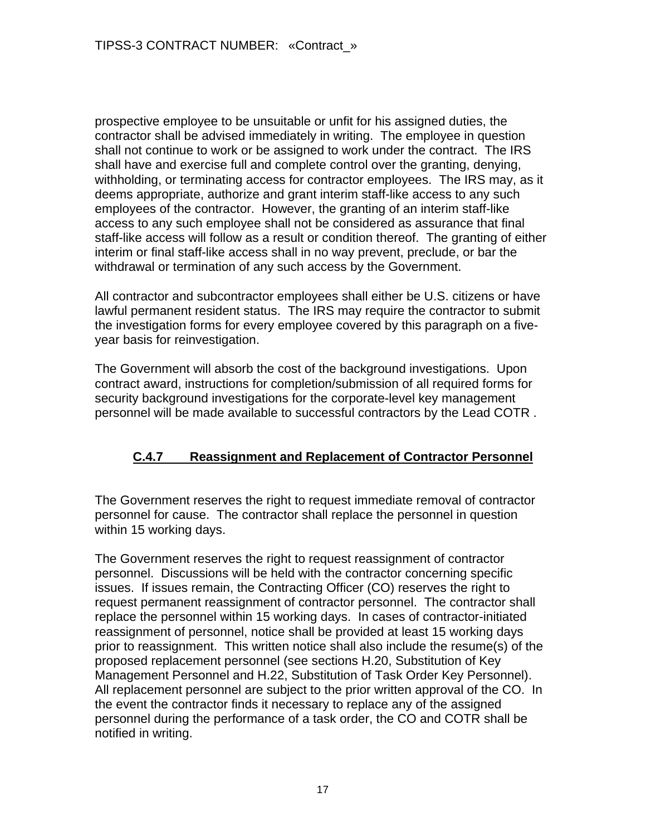prospective employee to be unsuitable or unfit for his assigned duties, the contractor shall be advised immediately in writing. The employee in question shall not continue to work or be assigned to work under the contract. The IRS shall have and exercise full and complete control over the granting, denying, withholding, or terminating access for contractor employees. The IRS may, as it deems appropriate, authorize and grant interim staff-like access to any such employees of the contractor. However, the granting of an interim staff-like access to any such employee shall not be considered as assurance that final staff-like access will follow as a result or condition thereof. The granting of either interim or final staff-like access shall in no way prevent, preclude, or bar the withdrawal or termination of any such access by the Government.

All contractor and subcontractor employees shall either be U.S. citizens or have lawful permanent resident status. The IRS may require the contractor to submit the investigation forms for every employee covered by this paragraph on a fiveyear basis for reinvestigation.

The Government will absorb the cost of the background investigations. Upon contract award, instructions for completion/submission of all required forms for security background investigations for the corporate-level key management personnel will be made available to successful contractors by the Lead COTR .

# **C.4.7 Reassignment and Replacement of Contractor Personnel**

The Government reserves the right to request immediate removal of contractor personnel for cause. The contractor shall replace the personnel in question within 15 working days.

The Government reserves the right to request reassignment of contractor personnel. Discussions will be held with the contractor concerning specific issues. If issues remain, the Contracting Officer (CO) reserves the right to request permanent reassignment of contractor personnel. The contractor shall replace the personnel within 15 working days. In cases of contractor-initiated reassignment of personnel, notice shall be provided at least 15 working days prior to reassignment. This written notice shall also include the resume(s) of the proposed replacement personnel (see sections H.20, Substitution of Key Management Personnel and H.22, Substitution of Task Order Key Personnel). All replacement personnel are subject to the prior written approval of the CO. In the event the contractor finds it necessary to replace any of the assigned personnel during the performance of a task order, the CO and COTR shall be notified in writing.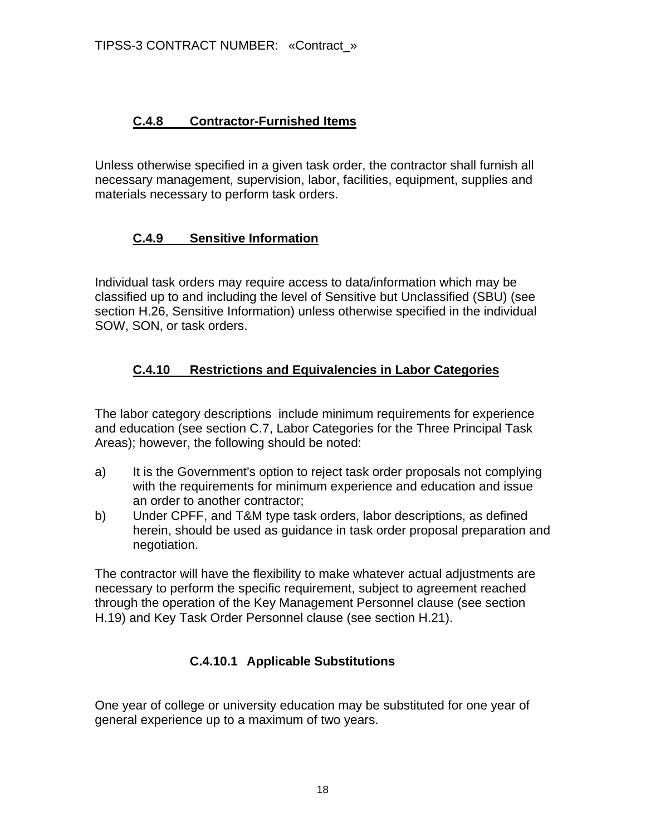# **C.4.8 Contractor-Furnished Items**

Unless otherwise specified in a given task order, the contractor shall furnish all necessary management, supervision, labor, facilities, equipment, supplies and materials necessary to perform task orders.

# **C.4.9 Sensitive Information**

Individual task orders may require access to data/information which may be classified up to and including the level of Sensitive but Unclassified (SBU) (see section H.26, Sensitive Information) unless otherwise specified in the individual SOW, SON, or task orders.

# **C.4.10 Restrictions and Equivalencies in Labor Categories**

The labor category descriptions include minimum requirements for experience and education (see section C.7, Labor Categories for the Three Principal Task Areas); however, the following should be noted:

- a) It is the Government's option to reject task order proposals not complying with the requirements for minimum experience and education and issue an order to another contractor;
- b) Under CPFF, and T&M type task orders, labor descriptions, as defined herein, should be used as guidance in task order proposal preparation and negotiation.

The contractor will have the flexibility to make whatever actual adjustments are necessary to perform the specific requirement, subject to agreement reached through the operation of the Key Management Personnel clause (see section H.19) and Key Task Order Personnel clause (see section H.21).

# **C.4.10.1 Applicable Substitutions**

One year of college or university education may be substituted for one year of general experience up to a maximum of two years.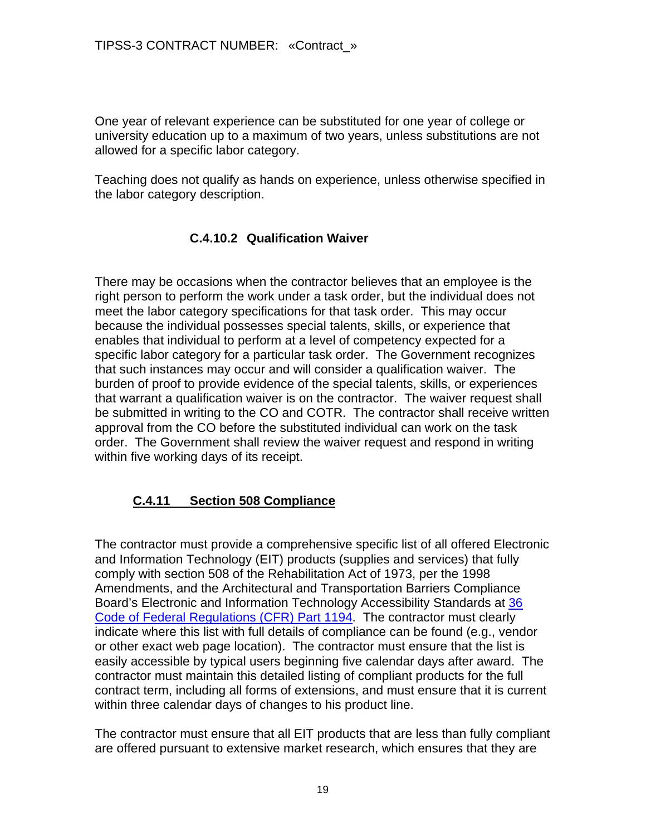One year of relevant experience can be substituted for one year of college or university education up to a maximum of two years, unless substitutions are not allowed for a specific labor category.

Teaching does not qualify as hands on experience, unless otherwise specified in the labor category description.

### **C.4.10.2 Qualification Waiver**

There may be occasions when the contractor believes that an employee is the right person to perform the work under a task order, but the individual does not meet the labor category specifications for that task order. This may occur because the individual possesses special talents, skills, or experience that enables that individual to perform at a level of competency expected for a specific labor category for a particular task order. The Government recognizes that such instances may occur and will consider a qualification waiver. The burden of proof to provide evidence of the special talents, skills, or experiences that warrant a qualification waiver is on the contractor. The waiver request shall be submitted in writing to the CO and COTR. The contractor shall receive written approval from the CO before the substituted individual can work on the task order. The Government shall review the waiver request and respond in writing within five working days of its receipt.

# **C.4.11 Section 508 Compliance**

The contractor must provide a comprehensive specific list of all offered Electronic and Information Technology (EIT) products (supplies and services) that fully comply with section 508 of the Rehabilitation Act of 1973, per the 1998 Amendments, and the Architectural and Transportation Barriers Compliance Board's Electronic and Information Technology Accessibility Standards at 36 [Code of Federal Regulations \(CFR\) Part 1194](http://www.gpoaccess.gov/uscode/). The contractor must clearly indicate where this list with full details of compliance can be found (e.g., vendor or other exact web page location). The contractor must ensure that the list is easily accessible by typical users beginning five calendar days after award. The contractor must maintain this detailed listing of compliant products for the full contract term, including all forms of extensions, and must ensure that it is current within three calendar days of changes to his product line.

The contractor must ensure that all EIT products that are less than fully compliant are offered pursuant to extensive market research, which ensures that they are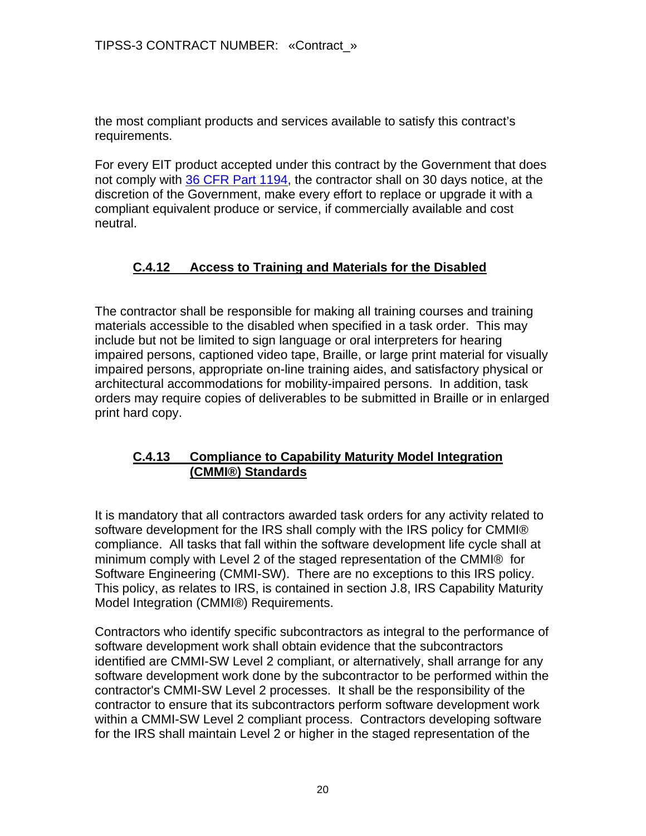the most compliant products and services available to satisfy this contract's requirements.

For every EIT product accepted under this contract by the Government that does not comply with [36 CFR Part 1194,](http://www.gpoaccess.gov/uscode/) the contractor shall on 30 days notice, at the discretion of the Government, make every effort to replace or upgrade it with a compliant equivalent produce or service, if commercially available and cost neutral.

# **C.4.12 Access to Training and Materials for the Disabled**

The contractor shall be responsible for making all training courses and training materials accessible to the disabled when specified in a task order. This may include but not be limited to sign language or oral interpreters for hearing impaired persons, captioned video tape, Braille, or large print material for visually impaired persons, appropriate on-line training aides, and satisfactory physical or architectural accommodations for mobility-impaired persons. In addition, task orders may require copies of deliverables to be submitted in Braille or in enlarged print hard copy.

### **C.4.13 Compliance to Capability Maturity Model Integration (CMMI®) Standards**

It is mandatory that all contractors awarded task orders for any activity related to software development for the IRS shall comply with the IRS policy for CMMI® compliance. All tasks that fall within the software development life cycle shall at minimum comply with Level 2 of the staged representation of the CMMI® for Software Engineering (CMMI-SW). There are no exceptions to this IRS policy. This policy, as relates to IRS, is contained in section J.8, IRS Capability Maturity Model Integration (CMMI®) Requirements.

Contractors who identify specific subcontractors as integral to the performance of software development work shall obtain evidence that the subcontractors identified are CMMI-SW Level 2 compliant, or alternatively, shall arrange for any software development work done by the subcontractor to be performed within the contractor's CMMI-SW Level 2 processes. It shall be the responsibility of the contractor to ensure that its subcontractors perform software development work within a CMMI-SW Level 2 compliant process. Contractors developing software for the IRS shall maintain Level 2 or higher in the staged representation of the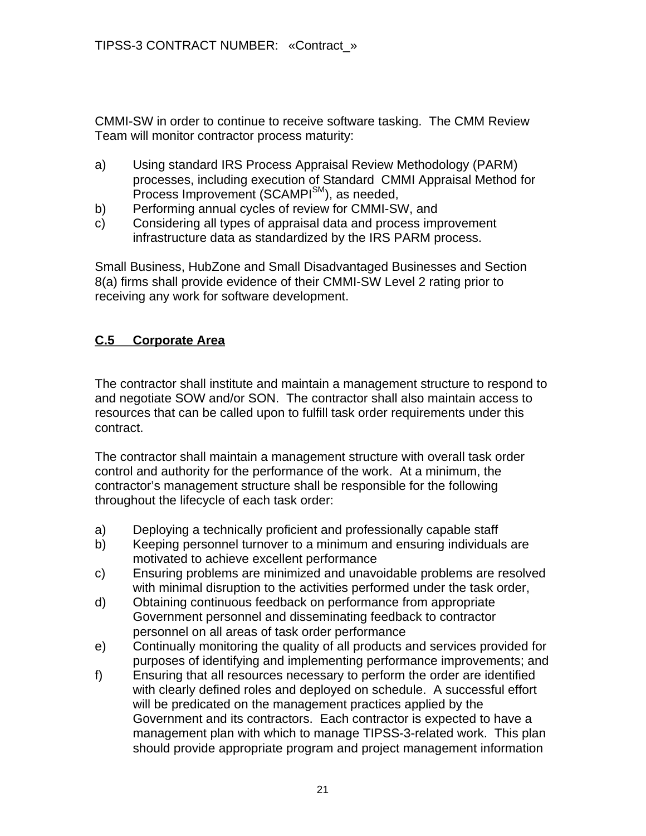CMMI-SW in order to continue to receive software tasking. The CMM Review Team will monitor contractor process maturity:

- a) Using standard IRS Process Appraisal Review Methodology (PARM) processes, including execution of Standard CMMI Appraisal Method for Process Improvement (SCAMPI<sup>SM</sup>), as needed,
- b) Performing annual cycles of review for CMMI-SW, and
- c) Considering all types of appraisal data and process improvement infrastructure data as standardized by the IRS PARM process.

Small Business, HubZone and Small Disadvantaged Businesses and Section 8(a) firms shall provide evidence of their CMMI-SW Level 2 rating prior to receiving any work for software development.

# **C.5 Corporate Area**

The contractor shall institute and maintain a management structure to respond to and negotiate SOW and/or SON. The contractor shall also maintain access to resources that can be called upon to fulfill task order requirements under this contract.

The contractor shall maintain a management structure with overall task order control and authority for the performance of the work. At a minimum, the contractor's management structure shall be responsible for the following throughout the lifecycle of each task order:

- a) Deploying a technically proficient and professionally capable staff
- b) Keeping personnel turnover to a minimum and ensuring individuals are motivated to achieve excellent performance
- c) Ensuring problems are minimized and unavoidable problems are resolved with minimal disruption to the activities performed under the task order,
- d) Obtaining continuous feedback on performance from appropriate Government personnel and disseminating feedback to contractor personnel on all areas of task order performance
- e) Continually monitoring the quality of all products and services provided for purposes of identifying and implementing performance improvements; and
- f) Ensuring that all resources necessary to perform the order are identified with clearly defined roles and deployed on schedule. A successful effort will be predicated on the management practices applied by the Government and its contractors. Each contractor is expected to have a management plan with which to manage TIPSS-3-related work. This plan should provide appropriate program and project management information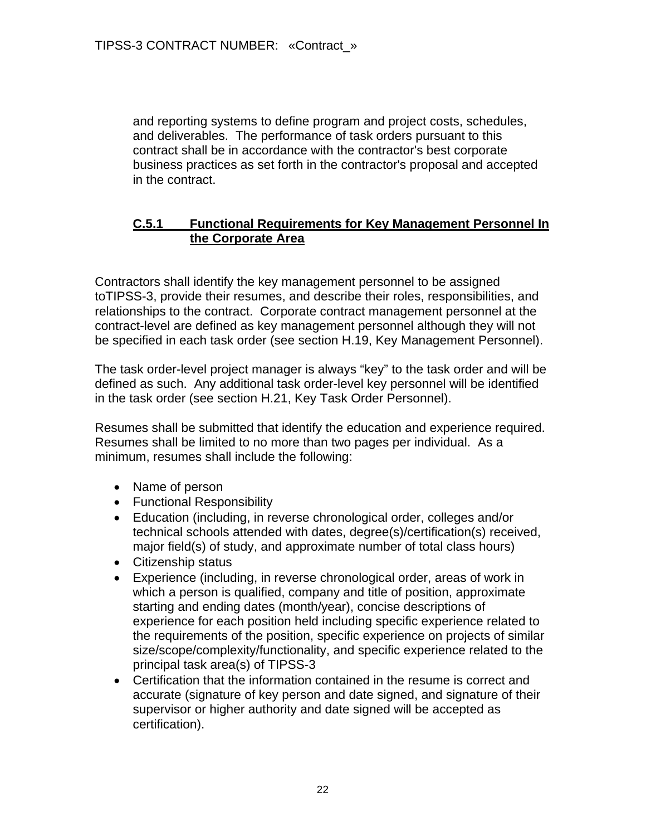and reporting systems to define program and project costs, schedules, and deliverables. The performance of task orders pursuant to this contract shall be in accordance with the contractor's best corporate business practices as set forth in the contractor's proposal and accepted in the contract.

#### **C.5.1 Functional Requirements for Key Management Personnel In the Corporate Area**

Contractors shall identify the key management personnel to be assigned toTIPSS-3, provide their resumes, and describe their roles, responsibilities, and relationships to the contract. Corporate contract management personnel at the contract-level are defined as key management personnel although they will not be specified in each task order (see section H.19, Key Management Personnel).

The task order-level project manager is always "key" to the task order and will be defined as such. Any additional task order-level key personnel will be identified in the task order (see section H.21, Key Task Order Personnel).

Resumes shall be submitted that identify the education and experience required. Resumes shall be limited to no more than two pages per individual. As a minimum, resumes shall include the following:

- Name of person
- Functional Responsibility
- Education (including, in reverse chronological order, colleges and/or technical schools attended with dates, degree(s)/certification(s) received, major field(s) of study, and approximate number of total class hours)
- Citizenship status
- Experience (including, in reverse chronological order, areas of work in which a person is qualified, company and title of position, approximate starting and ending dates (month/year), concise descriptions of experience for each position held including specific experience related to the requirements of the position, specific experience on projects of similar size/scope/complexity/functionality, and specific experience related to the principal task area(s) of TIPSS-3
- Certification that the information contained in the resume is correct and accurate (signature of key person and date signed, and signature of their supervisor or higher authority and date signed will be accepted as certification).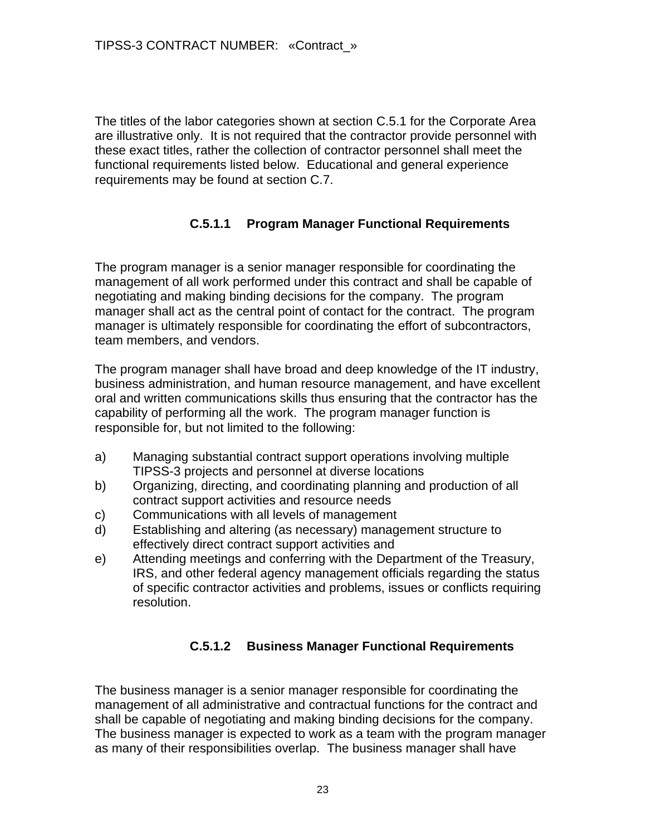The titles of the labor categories shown at section C.5.1 for the Corporate Area are illustrative only. It is not required that the contractor provide personnel with these exact titles, rather the collection of contractor personnel shall meet the functional requirements listed below. Educational and general experience requirements may be found at section C.7.

### **C.5.1.1 Program Manager Functional Requirements**

The program manager is a senior manager responsible for coordinating the management of all work performed under this contract and shall be capable of negotiating and making binding decisions for the company. The program manager shall act as the central point of contact for the contract. The program manager is ultimately responsible for coordinating the effort of subcontractors, team members, and vendors.

The program manager shall have broad and deep knowledge of the IT industry, business administration, and human resource management, and have excellent oral and written communications skills thus ensuring that the contractor has the capability of performing all the work. The program manager function is responsible for, but not limited to the following:

- a) Managing substantial contract support operations involving multiple TIPSS-3 projects and personnel at diverse locations
- b) Organizing, directing, and coordinating planning and production of all contract support activities and resource needs
- c) Communications with all levels of management
- d) Establishing and altering (as necessary) management structure to effectively direct contract support activities and
- e) Attending meetings and conferring with the Department of the Treasury, IRS, and other federal agency management officials regarding the status of specific contractor activities and problems, issues or conflicts requiring resolution.

# **C.5.1.2 Business Manager Functional Requirements**

The business manager is a senior manager responsible for coordinating the management of all administrative and contractual functions for the contract and shall be capable of negotiating and making binding decisions for the company. The business manager is expected to work as a team with the program manager as many of their responsibilities overlap. The business manager shall have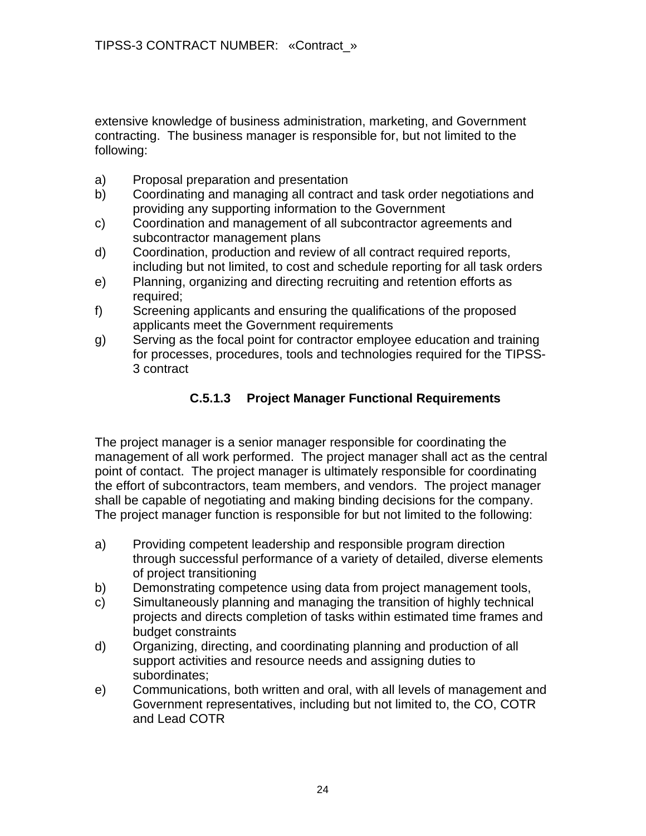extensive knowledge of business administration, marketing, and Government contracting. The business manager is responsible for, but not limited to the following:

- a) Proposal preparation and presentation
- b) Coordinating and managing all contract and task order negotiations and providing any supporting information to the Government
- c) Coordination and management of all subcontractor agreements and subcontractor management plans
- d) Coordination, production and review of all contract required reports, including but not limited, to cost and schedule reporting for all task orders
- e) Planning, organizing and directing recruiting and retention efforts as required;
- f) Screening applicants and ensuring the qualifications of the proposed applicants meet the Government requirements
- g) Serving as the focal point for contractor employee education and training for processes, procedures, tools and technologies required for the TIPSS-3 contract

### **C.5.1.3 Project Manager Functional Requirements**

The project manager is a senior manager responsible for coordinating the management of all work performed. The project manager shall act as the central point of contact. The project manager is ultimately responsible for coordinating the effort of subcontractors, team members, and vendors. The project manager shall be capable of negotiating and making binding decisions for the company. The project manager function is responsible for but not limited to the following:

- a) Providing competent leadership and responsible program direction through successful performance of a variety of detailed, diverse elements of project transitioning
- b) Demonstrating competence using data from project management tools,
- c) Simultaneously planning and managing the transition of highly technical projects and directs completion of tasks within estimated time frames and budget constraints
- d) Organizing, directing, and coordinating planning and production of all support activities and resource needs and assigning duties to subordinates;
- e) Communications, both written and oral, with all levels of management and Government representatives, including but not limited to, the CO, COTR and Lead COTR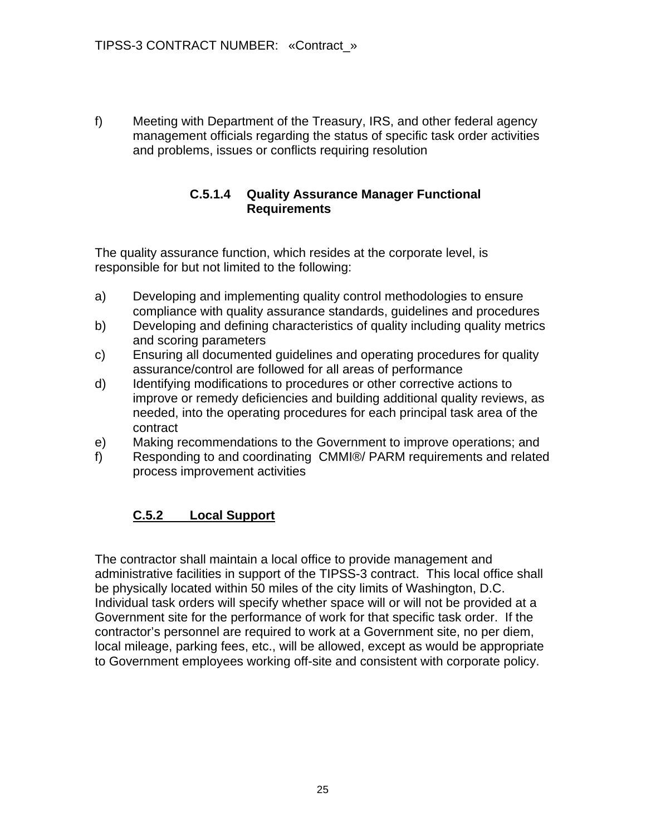f) Meeting with Department of the Treasury, IRS, and other federal agency management officials regarding the status of specific task order activities and problems, issues or conflicts requiring resolution

### **C.5.1.4 Quality Assurance Manager Functional Requirements**

The quality assurance function, which resides at the corporate level, is responsible for but not limited to the following:

- a) Developing and implementing quality control methodologies to ensure compliance with quality assurance standards, guidelines and procedures
- b) Developing and defining characteristics of quality including quality metrics and scoring parameters
- c) Ensuring all documented guidelines and operating procedures for quality assurance/control are followed for all areas of performance
- d) Identifying modifications to procedures or other corrective actions to improve or remedy deficiencies and building additional quality reviews, as needed, into the operating procedures for each principal task area of the contract
- e) Making recommendations to the Government to improve operations; and
- f) Responding to and coordinating CMMI®/ PARM requirements and related process improvement activities

# **C.5.2 Local Support**

The contractor shall maintain a local office to provide management and administrative facilities in support of the TIPSS-3 contract. This local office shall be physically located within 50 miles of the city limits of Washington, D.C. Individual task orders will specify whether space will or will not be provided at a Government site for the performance of work for that specific task order. If the contractor's personnel are required to work at a Government site, no per diem, local mileage, parking fees, etc., will be allowed, except as would be appropriate to Government employees working off-site and consistent with corporate policy.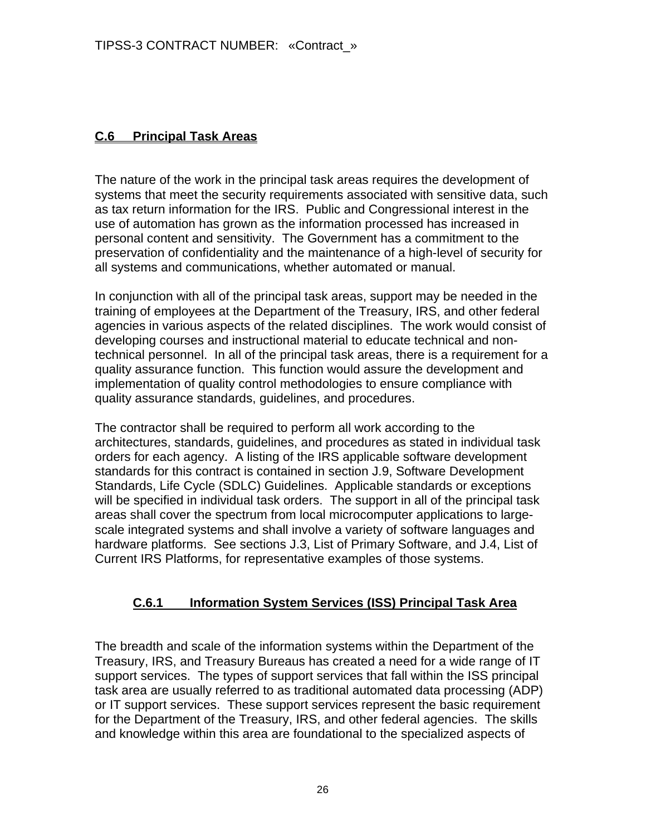### **C.6 Principal Task Areas**

The nature of the work in the principal task areas requires the development of systems that meet the security requirements associated with sensitive data, such as tax return information for the IRS. Public and Congressional interest in the use of automation has grown as the information processed has increased in personal content and sensitivity. The Government has a commitment to the preservation of confidentiality and the maintenance of a high-level of security for all systems and communications, whether automated or manual.

In conjunction with all of the principal task areas, support may be needed in the training of employees at the Department of the Treasury, IRS, and other federal agencies in various aspects of the related disciplines. The work would consist of developing courses and instructional material to educate technical and nontechnical personnel. In all of the principal task areas, there is a requirement for a quality assurance function. This function would assure the development and implementation of quality control methodologies to ensure compliance with quality assurance standards, guidelines, and procedures.

The contractor shall be required to perform all work according to the architectures, standards, guidelines, and procedures as stated in individual task orders for each agency. A listing of the IRS applicable software development standards for this contract is contained in section J.9, Software Development Standards, Life Cycle (SDLC) Guidelines. Applicable standards or exceptions will be specified in individual task orders. The support in all of the principal task areas shall cover the spectrum from local microcomputer applications to largescale integrated systems and shall involve a variety of software languages and hardware platforms. See sections J.3, List of Primary Software, and J.4, List of Current IRS Platforms, for representative examples of those systems.

### **C.6.1 Information System Services (ISS) Principal Task Area**

The breadth and scale of the information systems within the Department of the Treasury, IRS, and Treasury Bureaus has created a need for a wide range of IT support services. The types of support services that fall within the ISS principal task area are usually referred to as traditional automated data processing (ADP) or IT support services. These support services represent the basic requirement for the Department of the Treasury, IRS, and other federal agencies. The skills and knowledge within this area are foundational to the specialized aspects of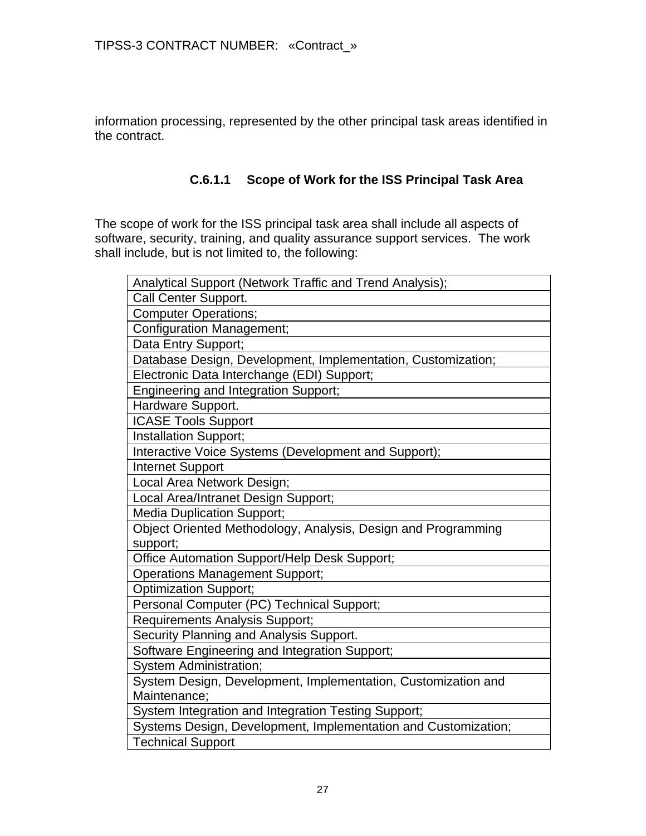information processing, represented by the other principal task areas identified in the contract.

### **C.6.1.1 Scope of Work for the ISS Principal Task Area**

The scope of work for the ISS principal task area shall include all aspects of software, security, training, and quality assurance support services. The work shall include, but is not limited to, the following:

| Analytical Support (Network Traffic and Trend Analysis);       |
|----------------------------------------------------------------|
| Call Center Support.                                           |
| <b>Computer Operations;</b>                                    |
| <b>Configuration Management;</b>                               |
| Data Entry Support;                                            |
| Database Design, Development, Implementation, Customization;   |
| Electronic Data Interchange (EDI) Support;                     |
| <b>Engineering and Integration Support;</b>                    |
| Hardware Support.                                              |
| <b>ICASE Tools Support</b>                                     |
| Installation Support;                                          |
| Interactive Voice Systems (Development and Support);           |
| <b>Internet Support</b>                                        |
| Local Area Network Design;                                     |
| Local Area/Intranet Design Support;                            |
| <b>Media Duplication Support;</b>                              |
| Object Oriented Methodology, Analysis, Design and Programming  |
| support;                                                       |
| Office Automation Support/Help Desk Support;                   |
| <b>Operations Management Support;</b>                          |
| <b>Optimization Support;</b>                                   |
| Personal Computer (PC) Technical Support;                      |
| Requirements Analysis Support;                                 |
| Security Planning and Analysis Support.                        |
| Software Engineering and Integration Support;                  |
| System Administration;                                         |
| System Design, Development, Implementation, Customization and  |
| Maintenance:                                                   |
| System Integration and Integration Testing Support;            |
| Systems Design, Development, Implementation and Customization; |
| <b>Technical Support</b>                                       |
|                                                                |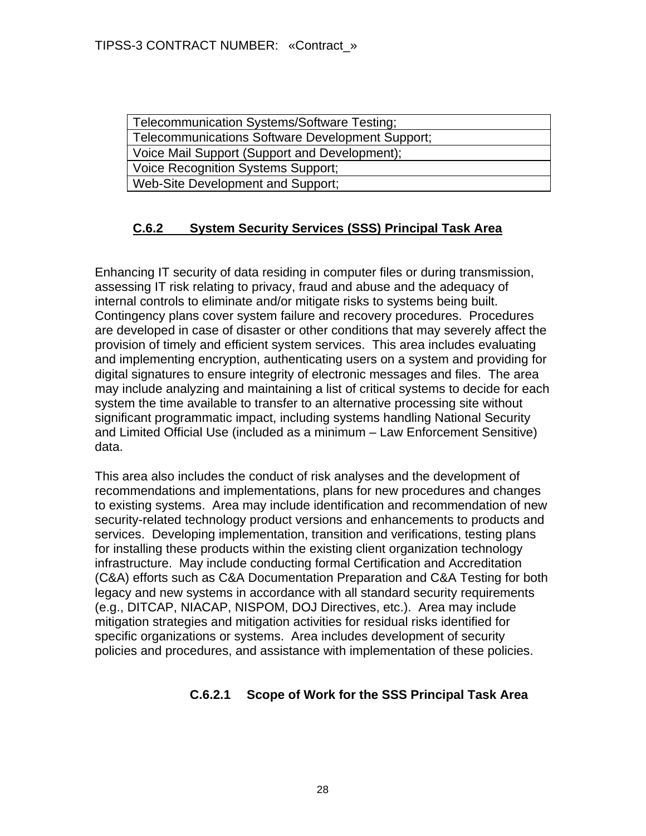| Telecommunication Systems/Software Testing;      |
|--------------------------------------------------|
| Telecommunications Software Development Support; |
| Voice Mail Support (Support and Development);    |
| <b>Voice Recognition Systems Support;</b>        |
| Web-Site Development and Support;                |

# **C.6.2 System Security Services (SSS) Principal Task Area**

Enhancing IT security of data residing in computer files or during transmission, assessing IT risk relating to privacy, fraud and abuse and the adequacy of internal controls to eliminate and/or mitigate risks to systems being built. Contingency plans cover system failure and recovery procedures. Procedures are developed in case of disaster or other conditions that may severely affect the provision of timely and efficient system services. This area includes evaluating and implementing encryption, authenticating users on a system and providing for digital signatures to ensure integrity of electronic messages and files. The area may include analyzing and maintaining a list of critical systems to decide for each system the time available to transfer to an alternative processing site without significant programmatic impact, including systems handling National Security and Limited Official Use (included as a minimum – Law Enforcement Sensitive) data.

This area also includes the conduct of risk analyses and the development of recommendations and implementations, plans for new procedures and changes to existing systems. Area may include identification and recommendation of new security-related technology product versions and enhancements to products and services. Developing implementation, transition and verifications, testing plans for installing these products within the existing client organization technology infrastructure. May include conducting formal Certification and Accreditation (C&A) efforts such as C&A Documentation Preparation and C&A Testing for both legacy and new systems in accordance with all standard security requirements (e.g., DITCAP, NIACAP, NISPOM, DOJ Directives, etc.). Area may include mitigation strategies and mitigation activities for residual risks identified for specific organizations or systems. Area includes development of security policies and procedures, and assistance with implementation of these policies.

### **C.6.2.1 Scope of Work for the SSS Principal Task Area**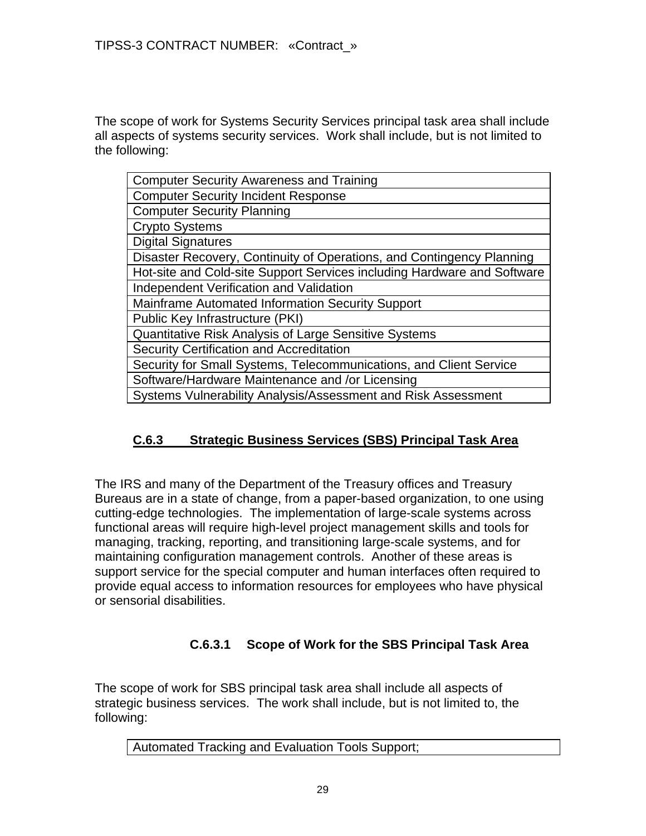The scope of work for Systems Security Services principal task area shall include all aspects of systems security services. Work shall include, but is not limited to the following:

| <b>Computer Security Awareness and Training</b>                         |
|-------------------------------------------------------------------------|
| <b>Computer Security Incident Response</b>                              |
| <b>Computer Security Planning</b>                                       |
| <b>Crypto Systems</b>                                                   |
| <b>Digital Signatures</b>                                               |
| Disaster Recovery, Continuity of Operations, and Contingency Planning   |
| Hot-site and Cold-site Support Services including Hardware and Software |
| Independent Verification and Validation                                 |
| <b>Mainframe Automated Information Security Support</b>                 |
| Public Key Infrastructure (PKI)                                         |
| Quantitative Risk Analysis of Large Sensitive Systems                   |
| Security Certification and Accreditation                                |
| Security for Small Systems, Telecommunications, and Client Service      |
| Software/Hardware Maintenance and /or Licensing                         |
| Systems Vulnerability Analysis/Assessment and Risk Assessment           |

# **C.6.3 Strategic Business Services (SBS) Principal Task Area**

The IRS and many of the Department of the Treasury offices and Treasury Bureaus are in a state of change, from a paper-based organization, to one using cutting-edge technologies. The implementation of large-scale systems across functional areas will require high-level project management skills and tools for managing, tracking, reporting, and transitioning large-scale systems, and for maintaining configuration management controls. Another of these areas is support service for the special computer and human interfaces often required to provide equal access to information resources for employees who have physical or sensorial disabilities.

### **C.6.3.1 Scope of Work for the SBS Principal Task Area**

The scope of work for SBS principal task area shall include all aspects of strategic business services. The work shall include, but is not limited to, the following:

Automated Tracking and Evaluation Tools Support;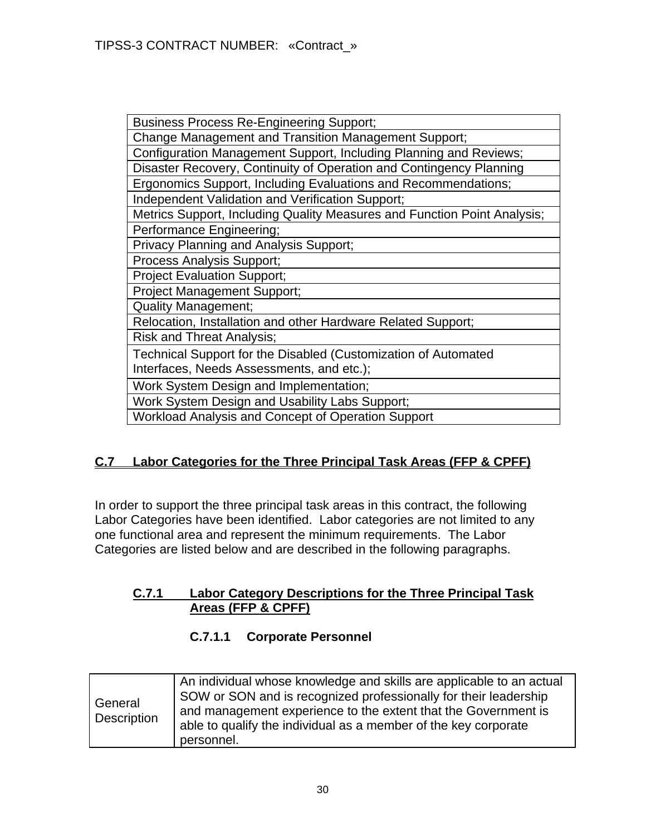| <b>Business Process Re-Engineering Support;</b>                          |
|--------------------------------------------------------------------------|
| <b>Change Management and Transition Management Support;</b>              |
| Configuration Management Support, Including Planning and Reviews;        |
| Disaster Recovery, Continuity of Operation and Contingency Planning      |
| Ergonomics Support, Including Evaluations and Recommendations;           |
| Independent Validation and Verification Support;                         |
| Metrics Support, Including Quality Measures and Function Point Analysis; |
| Performance Engineering;                                                 |
| Privacy Planning and Analysis Support;                                   |
| <b>Process Analysis Support;</b>                                         |
| <b>Project Evaluation Support;</b>                                       |
| <b>Project Management Support;</b>                                       |
| <b>Quality Management;</b>                                               |
| Relocation, Installation and other Hardware Related Support;             |
| <b>Risk and Threat Analysis;</b>                                         |
| Technical Support for the Disabled (Customization of Automated           |
| Interfaces, Needs Assessments, and etc.);                                |
| Work System Design and Implementation;                                   |
| Work System Design and Usability Labs Support;                           |
| Workload Analysis and Concept of Operation Support                       |

# **C.7 Labor Categories for the Three Principal Task Areas (FFP & CPFF)**

In order to support the three principal task areas in this contract, the following Labor Categories have been identified. Labor categories are not limited to any one functional area and represent the minimum requirements. The Labor Categories are listed below and are described in the following paragraphs.

#### **C.7.1 Labor Category Descriptions for the Three Principal Task Areas (FFP & CPFF)**

### **C.7.1.1 Corporate Personnel**

| General<br>Description | An individual whose knowledge and skills are applicable to an actual<br>SOW or SON and is recognized professionally for their leadership<br>and management experience to the extent that the Government is<br>able to qualify the individual as a member of the key corporate<br>personnel. |
|------------------------|---------------------------------------------------------------------------------------------------------------------------------------------------------------------------------------------------------------------------------------------------------------------------------------------|
|------------------------|---------------------------------------------------------------------------------------------------------------------------------------------------------------------------------------------------------------------------------------------------------------------------------------------|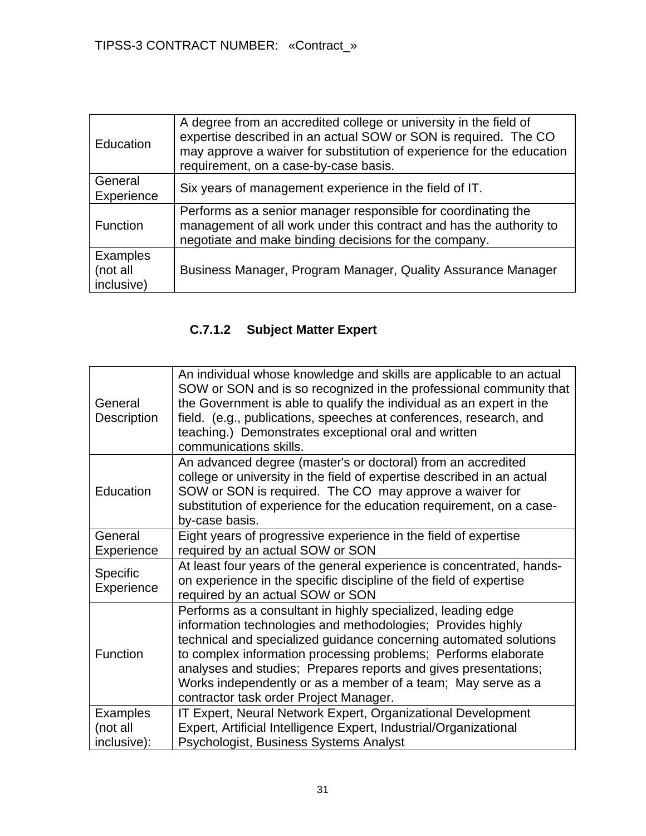| Education                                 | A degree from an accredited college or university in the field of<br>expertise described in an actual SOW or SON is required. The CO<br>may approve a waiver for substitution of experience for the education<br>requirement, on a case-by-case basis. |
|-------------------------------------------|--------------------------------------------------------------------------------------------------------------------------------------------------------------------------------------------------------------------------------------------------------|
| General<br>Experience                     | Six years of management experience in the field of IT.                                                                                                                                                                                                 |
| Function                                  | Performs as a senior manager responsible for coordinating the<br>management of all work under this contract and has the authority to<br>negotiate and make binding decisions for the company.                                                          |
| <b>Examples</b><br>(not all<br>inclusive) | Business Manager, Program Manager, Quality Assurance Manager                                                                                                                                                                                           |

# **C.7.1.2 Subject Matter Expert**

| General<br>Description                     | An individual whose knowledge and skills are applicable to an actual<br>SOW or SON and is so recognized in the professional community that<br>the Government is able to qualify the individual as an expert in the<br>field. (e.g., publications, speeches at conferences, research, and<br>teaching.) Demonstrates exceptional oral and written<br>communications skills.                                                                      |
|--------------------------------------------|-------------------------------------------------------------------------------------------------------------------------------------------------------------------------------------------------------------------------------------------------------------------------------------------------------------------------------------------------------------------------------------------------------------------------------------------------|
| Education                                  | An advanced degree (master's or doctoral) from an accredited<br>college or university in the field of expertise described in an actual<br>SOW or SON is required. The CO may approve a waiver for<br>substitution of experience for the education requirement, on a case-<br>by-case basis.                                                                                                                                                     |
| General<br>Experience                      | Eight years of progressive experience in the field of expertise<br>required by an actual SOW or SON                                                                                                                                                                                                                                                                                                                                             |
| <b>Specific</b><br>Experience              | At least four years of the general experience is concentrated, hands-<br>on experience in the specific discipline of the field of expertise<br>required by an actual SOW or SON                                                                                                                                                                                                                                                                 |
| <b>Function</b>                            | Performs as a consultant in highly specialized, leading edge<br>information technologies and methodologies; Provides highly<br>technical and specialized guidance concerning automated solutions<br>to complex information processing problems; Performs elaborate<br>analyses and studies; Prepares reports and gives presentations;<br>Works independently or as a member of a team; May serve as a<br>contractor task order Project Manager. |
| <b>Examples</b><br>(not all<br>inclusive): | IT Expert, Neural Network Expert, Organizational Development<br>Expert, Artificial Intelligence Expert, Industrial/Organizational<br>Psychologist, Business Systems Analyst                                                                                                                                                                                                                                                                     |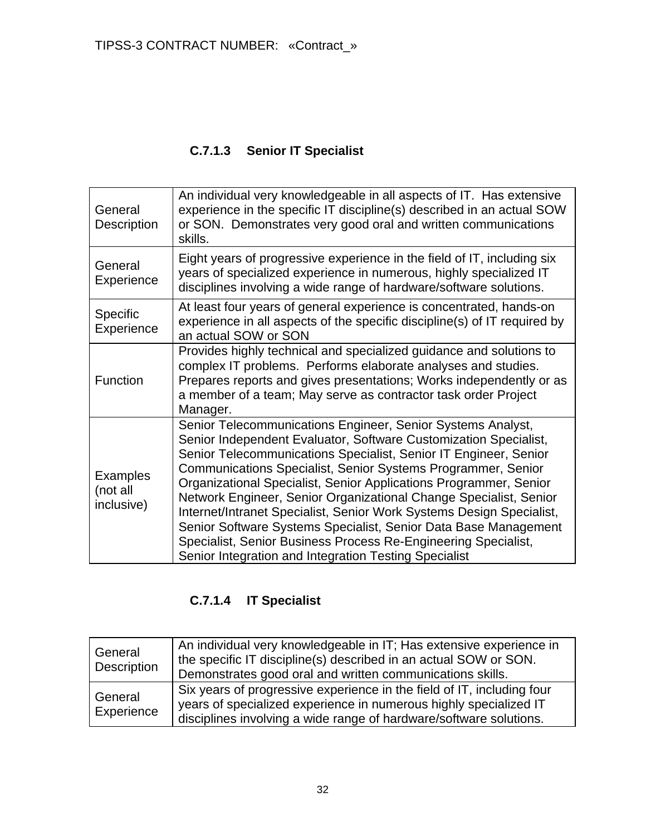# **C.7.1.3 Senior IT Specialist**

| General<br><b>Description</b>             | An individual very knowledgeable in all aspects of IT. Has extensive<br>experience in the specific IT discipline(s) described in an actual SOW<br>or SON. Demonstrates very good oral and written communications<br>skills.                                                                                                                                                                                                                                                                                                                                                                                                                                                         |
|-------------------------------------------|-------------------------------------------------------------------------------------------------------------------------------------------------------------------------------------------------------------------------------------------------------------------------------------------------------------------------------------------------------------------------------------------------------------------------------------------------------------------------------------------------------------------------------------------------------------------------------------------------------------------------------------------------------------------------------------|
| General<br>Experience                     | Eight years of progressive experience in the field of IT, including six<br>years of specialized experience in numerous, highly specialized IT<br>disciplines involving a wide range of hardware/software solutions.                                                                                                                                                                                                                                                                                                                                                                                                                                                                 |
| <b>Specific</b><br>Experience             | At least four years of general experience is concentrated, hands-on<br>experience in all aspects of the specific discipline(s) of IT required by<br>an actual SOW or SON                                                                                                                                                                                                                                                                                                                                                                                                                                                                                                            |
| <b>Function</b>                           | Provides highly technical and specialized guidance and solutions to<br>complex IT problems. Performs elaborate analyses and studies.<br>Prepares reports and gives presentations; Works independently or as<br>a member of a team; May serve as contractor task order Project<br>Manager.                                                                                                                                                                                                                                                                                                                                                                                           |
| <b>Examples</b><br>(not all<br>inclusive) | Senior Telecommunications Engineer, Senior Systems Analyst,<br>Senior Independent Evaluator, Software Customization Specialist,<br>Senior Telecommunications Specialist, Senior IT Engineer, Senior<br>Communications Specialist, Senior Systems Programmer, Senior<br>Organizational Specialist, Senior Applications Programmer, Senior<br>Network Engineer, Senior Organizational Change Specialist, Senior<br>Internet/Intranet Specialist, Senior Work Systems Design Specialist,<br>Senior Software Systems Specialist, Senior Data Base Management<br>Specialist, Senior Business Process Re-Engineering Specialist,<br>Senior Integration and Integration Testing Specialist |

# **C.7.1.4 IT Specialist**

| General<br>Description | An individual very knowledgeable in IT; Has extensive experience in<br>the specific IT discipline(s) described in an actual SOW or SON.<br>Demonstrates good oral and written communications skills.              |
|------------------------|-------------------------------------------------------------------------------------------------------------------------------------------------------------------------------------------------------------------|
| General<br>Experience  | Six years of progressive experience in the field of IT, including four<br>years of specialized experience in numerous highly specialized IT<br>disciplines involving a wide range of hardware/software solutions. |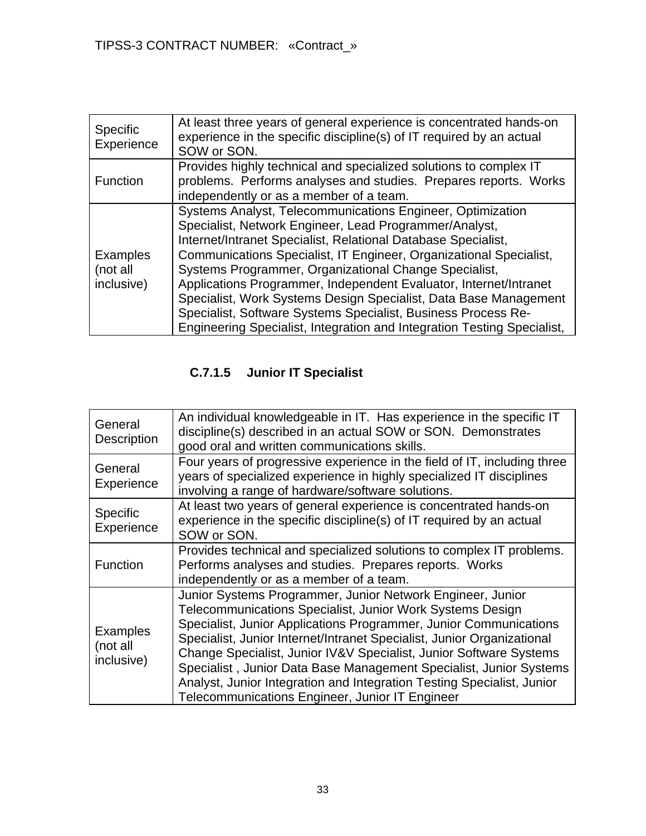| <b>Specific</b><br>Experience             | At least three years of general experience is concentrated hands-on<br>experience in the specific discipline(s) of IT required by an actual<br>SOW or SON.                                                                                                                                                                                                                                                                                                                                                                                                                                                |
|-------------------------------------------|-----------------------------------------------------------------------------------------------------------------------------------------------------------------------------------------------------------------------------------------------------------------------------------------------------------------------------------------------------------------------------------------------------------------------------------------------------------------------------------------------------------------------------------------------------------------------------------------------------------|
| Function                                  | Provides highly technical and specialized solutions to complex IT<br>problems. Performs analyses and studies. Prepares reports. Works<br>independently or as a member of a team.                                                                                                                                                                                                                                                                                                                                                                                                                          |
| <b>Examples</b><br>(not all<br>inclusive) | Systems Analyst, Telecommunications Engineer, Optimization<br>Specialist, Network Engineer, Lead Programmer/Analyst,<br>Internet/Intranet Specialist, Relational Database Specialist,<br>Communications Specialist, IT Engineer, Organizational Specialist,<br>Systems Programmer, Organizational Change Specialist,<br>Applications Programmer, Independent Evaluator, Internet/Intranet<br>Specialist, Work Systems Design Specialist, Data Base Management<br>Specialist, Software Systems Specialist, Business Process Re-<br>Engineering Specialist, Integration and Integration Testing Specialist, |

# **C.7.1.5 Junior IT Specialist**

| General<br><b>Description</b>             | An individual knowledgeable in IT. Has experience in the specific IT<br>discipline(s) described in an actual SOW or SON. Demonstrates<br>good oral and written communications skills.                                                                                                                                                                                                                                                                                                                                                           |
|-------------------------------------------|-------------------------------------------------------------------------------------------------------------------------------------------------------------------------------------------------------------------------------------------------------------------------------------------------------------------------------------------------------------------------------------------------------------------------------------------------------------------------------------------------------------------------------------------------|
| General<br>Experience                     | Four years of progressive experience in the field of IT, including three<br>years of specialized experience in highly specialized IT disciplines<br>involving a range of hardware/software solutions.                                                                                                                                                                                                                                                                                                                                           |
| <b>Specific</b><br>Experience             | At least two years of general experience is concentrated hands-on<br>experience in the specific discipline(s) of IT required by an actual<br>SOW or SON.                                                                                                                                                                                                                                                                                                                                                                                        |
| Function                                  | Provides technical and specialized solutions to complex IT problems.<br>Performs analyses and studies. Prepares reports. Works<br>independently or as a member of a team.                                                                                                                                                                                                                                                                                                                                                                       |
| <b>Examples</b><br>(not all<br>inclusive) | Junior Systems Programmer, Junior Network Engineer, Junior<br>Telecommunications Specialist, Junior Work Systems Design<br>Specialist, Junior Applications Programmer, Junior Communications<br>Specialist, Junior Internet/Intranet Specialist, Junior Organizational<br>Change Specialist, Junior IV&V Specialist, Junior Software Systems<br>Specialist, Junior Data Base Management Specialist, Junior Systems<br>Analyst, Junior Integration and Integration Testing Specialist, Junior<br>Telecommunications Engineer, Junior IT Engineer |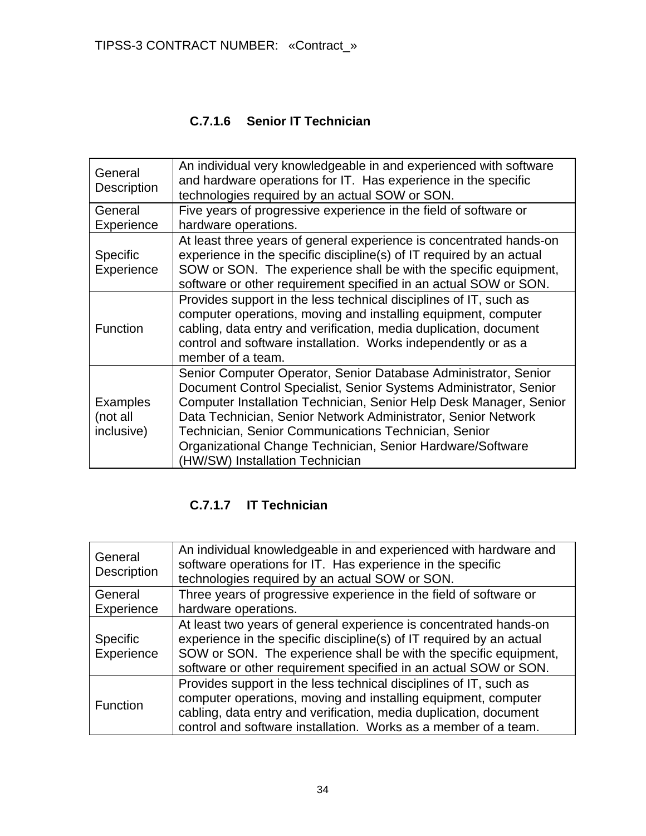# **C.7.1.6 Senior IT Technician**

| General<br>Description                    | An individual very knowledgeable in and experienced with software<br>and hardware operations for IT. Has experience in the specific<br>technologies required by an actual SOW or SON.                                                                                                                                                                                                                                                |
|-------------------------------------------|--------------------------------------------------------------------------------------------------------------------------------------------------------------------------------------------------------------------------------------------------------------------------------------------------------------------------------------------------------------------------------------------------------------------------------------|
| General<br>Experience                     | Five years of progressive experience in the field of software or<br>hardware operations.                                                                                                                                                                                                                                                                                                                                             |
| <b>Specific</b><br><b>Experience</b>      | At least three years of general experience is concentrated hands-on<br>experience in the specific discipline(s) of IT required by an actual<br>SOW or SON. The experience shall be with the specific equipment,<br>software or other requirement specified in an actual SOW or SON.                                                                                                                                                  |
| Function                                  | Provides support in the less technical disciplines of IT, such as<br>computer operations, moving and installing equipment, computer<br>cabling, data entry and verification, media duplication, document<br>control and software installation. Works independently or as a<br>member of a team.                                                                                                                                      |
| <b>Examples</b><br>(not all<br>inclusive) | Senior Computer Operator, Senior Database Administrator, Senior<br>Document Control Specialist, Senior Systems Administrator, Senior<br>Computer Installation Technician, Senior Help Desk Manager, Senior<br>Data Technician, Senior Network Administrator, Senior Network<br>Technician, Senior Communications Technician, Senior<br>Organizational Change Technician, Senior Hardware/Software<br>(HW/SW) Installation Technician |

# **C.7.1.7 IT Technician**

| General<br>Description        | An individual knowledgeable in and experienced with hardware and<br>software operations for IT. Has experience in the specific<br>technologies required by an actual SOW or SON.                                                                                                  |
|-------------------------------|-----------------------------------------------------------------------------------------------------------------------------------------------------------------------------------------------------------------------------------------------------------------------------------|
| General                       | Three years of progressive experience in the field of software or                                                                                                                                                                                                                 |
| Experience                    | hardware operations.                                                                                                                                                                                                                                                              |
| <b>Specific</b><br>Experience | At least two years of general experience is concentrated hands-on<br>experience in the specific discipline(s) of IT required by an actual<br>SOW or SON. The experience shall be with the specific equipment,<br>software or other requirement specified in an actual SOW or SON. |
| Function                      | Provides support in the less technical disciplines of IT, such as<br>computer operations, moving and installing equipment, computer<br>cabling, data entry and verification, media duplication, document<br>control and software installation. Works as a member of a team.       |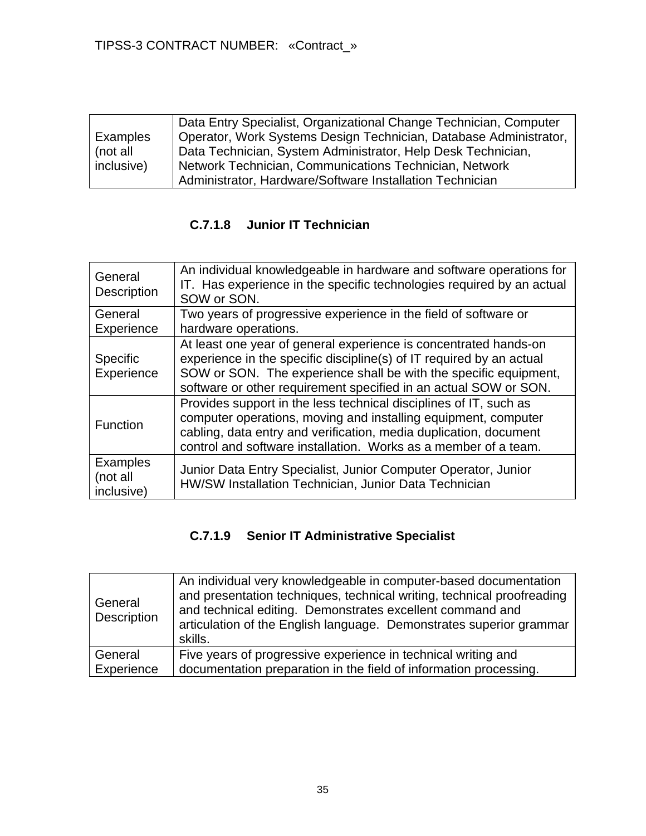|            | Data Entry Specialist, Organizational Change Technician, Computer |
|------------|-------------------------------------------------------------------|
| Examples   | Operator, Work Systems Design Technician, Database Administrator, |
| (not all   | Data Technician, System Administrator, Help Desk Technician,      |
| inclusive) | Network Technician, Communications Technician, Network            |
|            | Administrator, Hardware/Software Installation Technician          |

# **C.7.1.8 Junior IT Technician**

| General<br><b>Description</b>             | An individual knowledgeable in hardware and software operations for<br>IT. Has experience in the specific technologies required by an actual<br>SOW or SON.                                                                                                                      |
|-------------------------------------------|----------------------------------------------------------------------------------------------------------------------------------------------------------------------------------------------------------------------------------------------------------------------------------|
| General                                   | Two years of progressive experience in the field of software or                                                                                                                                                                                                                  |
| Experience                                | hardware operations.                                                                                                                                                                                                                                                             |
| Specific<br>Experience                    | At least one year of general experience is concentrated hands-on<br>experience in the specific discipline(s) of IT required by an actual<br>SOW or SON. The experience shall be with the specific equipment,<br>software or other requirement specified in an actual SOW or SON. |
| Function                                  | Provides support in the less technical disciplines of IT, such as<br>computer operations, moving and installing equipment, computer<br>cabling, data entry and verification, media duplication, document<br>control and software installation. Works as a member of a team.      |
| <b>Examples</b><br>(not all<br>inclusive) | Junior Data Entry Specialist, Junior Computer Operator, Junior<br>HW/SW Installation Technician, Junior Data Technician                                                                                                                                                          |

# **C.7.1.9 Senior IT Administrative Specialist**

| General<br>Description | An individual very knowledgeable in computer-based documentation<br>and presentation techniques, technical writing, technical proofreading<br>and technical editing. Demonstrates excellent command and<br>articulation of the English language. Demonstrates superior grammar<br>skills. |
|------------------------|-------------------------------------------------------------------------------------------------------------------------------------------------------------------------------------------------------------------------------------------------------------------------------------------|
| General                | Five years of progressive experience in technical writing and                                                                                                                                                                                                                             |
| Experience             | documentation preparation in the field of information processing.                                                                                                                                                                                                                         |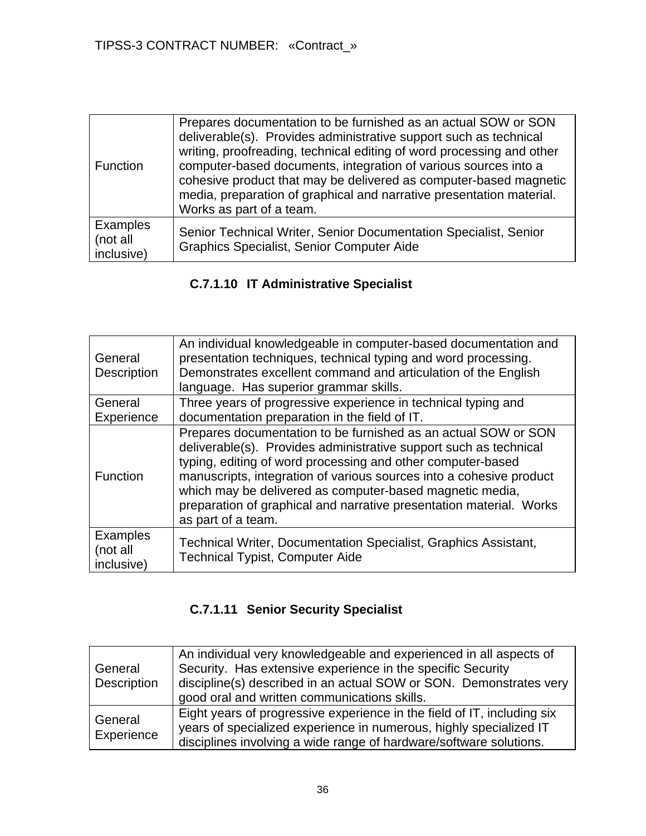| <b>Function</b>                    | Prepares documentation to be furnished as an actual SOW or SON<br>deliverable(s). Provides administrative support such as technical<br>writing, proofreading, technical editing of word processing and other<br>computer-based documents, integration of various sources into a<br>cohesive product that may be delivered as computer-based magnetic<br>media, preparation of graphical and narrative presentation material.<br>Works as part of a team. |
|------------------------------------|----------------------------------------------------------------------------------------------------------------------------------------------------------------------------------------------------------------------------------------------------------------------------------------------------------------------------------------------------------------------------------------------------------------------------------------------------------|
| Examples<br>(not all<br>inclusive) | Senior Technical Writer, Senior Documentation Specialist, Senior<br>Graphics Specialist, Senior Computer Aide                                                                                                                                                                                                                                                                                                                                            |

# **C.7.1.10 IT Administrative Specialist**

| General<br>Description                    | An individual knowledgeable in computer-based documentation and<br>presentation techniques, technical typing and word processing.<br>Demonstrates excellent command and articulation of the English<br>language. Has superior grammar skills.                                                                                                                                                                                      |
|-------------------------------------------|------------------------------------------------------------------------------------------------------------------------------------------------------------------------------------------------------------------------------------------------------------------------------------------------------------------------------------------------------------------------------------------------------------------------------------|
| General                                   | Three years of progressive experience in technical typing and                                                                                                                                                                                                                                                                                                                                                                      |
| Experience                                | documentation preparation in the field of IT.                                                                                                                                                                                                                                                                                                                                                                                      |
| Function                                  | Prepares documentation to be furnished as an actual SOW or SON<br>deliverable(s). Provides administrative support such as technical<br>typing, editing of word processing and other computer-based<br>manuscripts, integration of various sources into a cohesive product<br>which may be delivered as computer-based magnetic media,<br>preparation of graphical and narrative presentation material. Works<br>as part of a team. |
| <b>Examples</b><br>(not all<br>inclusive) | Technical Writer, Documentation Specialist, Graphics Assistant,<br>Technical Typist, Computer Aide                                                                                                                                                                                                                                                                                                                                 |

# **C.7.1.11 Senior Security Specialist**

| General<br>Description | An individual very knowledgeable and experienced in all aspects of<br>Security. Has extensive experience in the specific Security<br>discipline(s) described in an actual SOW or SON. Demonstrates very<br>good oral and written communications skills. |
|------------------------|---------------------------------------------------------------------------------------------------------------------------------------------------------------------------------------------------------------------------------------------------------|
| General<br>Experience  | Eight years of progressive experience in the field of IT, including six<br>years of specialized experience in numerous, highly specialized IT<br>disciplines involving a wide range of hardware/software solutions.                                     |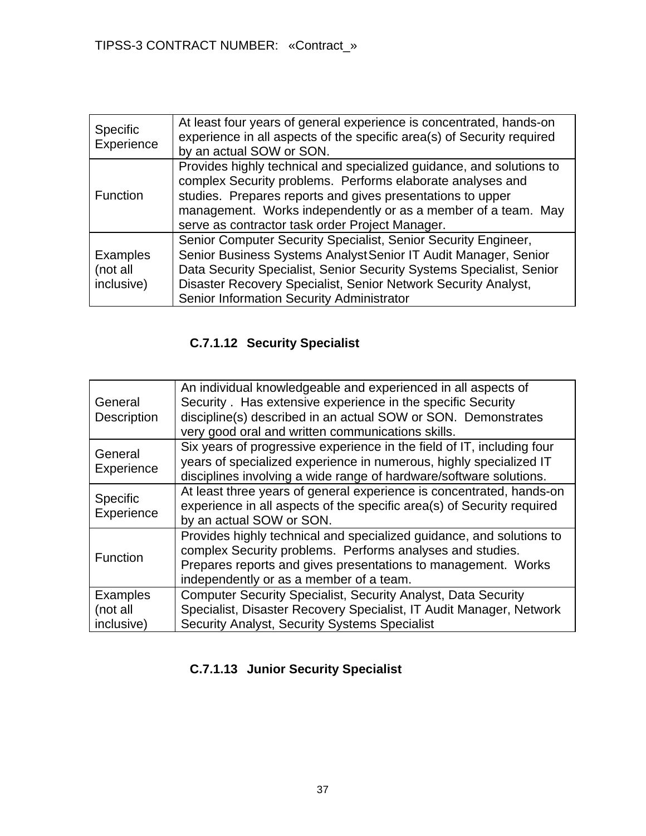| <b>Specific</b><br>Experience             | At least four years of general experience is concentrated, hands-on<br>experience in all aspects of the specific area(s) of Security required<br>by an actual SOW or SON.                                                                                                                                                |
|-------------------------------------------|--------------------------------------------------------------------------------------------------------------------------------------------------------------------------------------------------------------------------------------------------------------------------------------------------------------------------|
| <b>Function</b>                           | Provides highly technical and specialized guidance, and solutions to<br>complex Security problems. Performs elaborate analyses and<br>studies. Prepares reports and gives presentations to upper<br>management. Works independently or as a member of a team. May<br>serve as contractor task order Project Manager.     |
| <b>Examples</b><br>(not all<br>inclusive) | Senior Computer Security Specialist, Senior Security Engineer,<br>Senior Business Systems Analyst Senior IT Audit Manager, Senior<br>Data Security Specialist, Senior Security Systems Specialist, Senior<br>Disaster Recovery Specialist, Senior Network Security Analyst,<br>Senior Information Security Administrator |

# **C.7.1.12 Security Specialist**

| General                | An individual knowledgeable and experienced in all aspects of<br>Security . Has extensive experience in the specific Security                                                                                                                 |
|------------------------|-----------------------------------------------------------------------------------------------------------------------------------------------------------------------------------------------------------------------------------------------|
| Description            | discipline(s) described in an actual SOW or SON. Demonstrates<br>very good oral and written communications skills.                                                                                                                            |
| General<br>Experience  | Six years of progressive experience in the field of IT, including four<br>years of specialized experience in numerous, highly specialized IT<br>disciplines involving a wide range of hardware/software solutions.                            |
| Specific<br>Experience | At least three years of general experience is concentrated, hands-on<br>experience in all aspects of the specific area(s) of Security required<br>by an actual SOW or SON.                                                                    |
| Function               | Provides highly technical and specialized guidance, and solutions to<br>complex Security problems. Performs analyses and studies.<br>Prepares reports and gives presentations to management. Works<br>independently or as a member of a team. |
| <b>Examples</b>        | <b>Computer Security Specialist, Security Analyst, Data Security</b>                                                                                                                                                                          |
| (not all               | Specialist, Disaster Recovery Specialist, IT Audit Manager, Network                                                                                                                                                                           |
| inclusive)             | Security Analyst, Security Systems Specialist                                                                                                                                                                                                 |

# **C.7.1.13 Junior Security Specialist**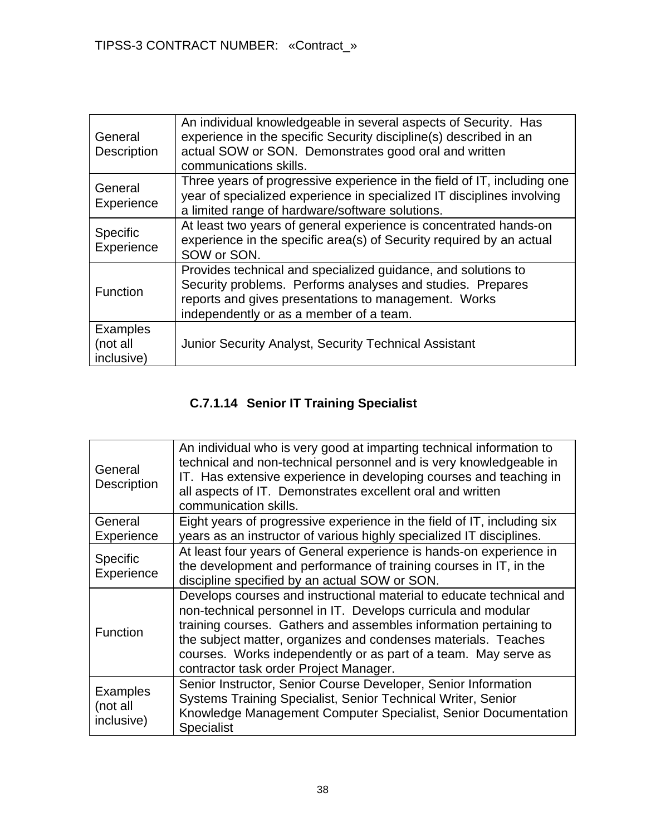| General<br>Description                    | An individual knowledgeable in several aspects of Security. Has<br>experience in the specific Security discipline(s) described in an<br>actual SOW or SON. Demonstrates good oral and written<br>communications skills.        |
|-------------------------------------------|--------------------------------------------------------------------------------------------------------------------------------------------------------------------------------------------------------------------------------|
| General<br>Experience                     | Three years of progressive experience in the field of IT, including one<br>year of specialized experience in specialized IT disciplines involving<br>a limited range of hardware/software solutions.                           |
| <b>Specific</b><br>Experience             | At least two years of general experience is concentrated hands-on<br>experience in the specific area(s) of Security required by an actual<br>SOW or SON.                                                                       |
| Function                                  | Provides technical and specialized guidance, and solutions to<br>Security problems. Performs analyses and studies. Prepares<br>reports and gives presentations to management. Works<br>independently or as a member of a team. |
| <b>Examples</b><br>(not all<br>inclusive) | <b>Junior Security Analyst, Security Technical Assistant</b>                                                                                                                                                                   |

# **C.7.1.14 Senior IT Training Specialist**

| General<br><b>Description</b>             | An individual who is very good at imparting technical information to<br>technical and non-technical personnel and is very knowledgeable in<br>IT. Has extensive experience in developing courses and teaching in<br>all aspects of IT. Demonstrates excellent oral and written<br>communication skills.                                                                                   |
|-------------------------------------------|-------------------------------------------------------------------------------------------------------------------------------------------------------------------------------------------------------------------------------------------------------------------------------------------------------------------------------------------------------------------------------------------|
| General<br>Experience                     | Eight years of progressive experience in the field of IT, including six<br>years as an instructor of various highly specialized IT disciplines.                                                                                                                                                                                                                                           |
| Specific<br>Experience                    | At least four years of General experience is hands-on experience in<br>the development and performance of training courses in IT, in the<br>discipline specified by an actual SOW or SON.                                                                                                                                                                                                 |
| <b>Function</b>                           | Develops courses and instructional material to educate technical and<br>non-technical personnel in IT. Develops curricula and modular<br>training courses. Gathers and assembles information pertaining to<br>the subject matter, organizes and condenses materials. Teaches<br>courses. Works independently or as part of a team. May serve as<br>contractor task order Project Manager. |
| <b>Examples</b><br>(not all<br>inclusive) | Senior Instructor, Senior Course Developer, Senior Information<br>Systems Training Specialist, Senior Technical Writer, Senior<br>Knowledge Management Computer Specialist, Senior Documentation<br><b>Specialist</b>                                                                                                                                                                     |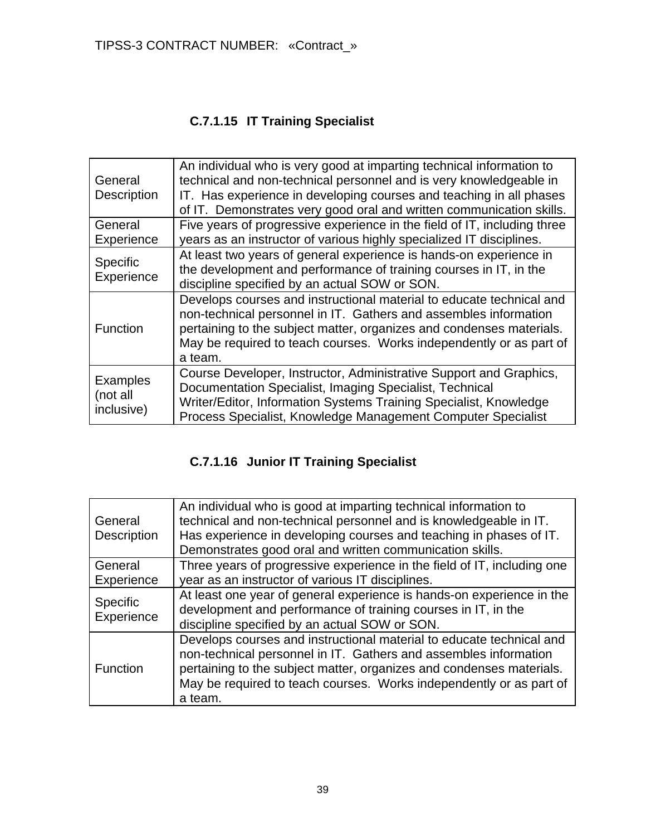# **C.7.1.15 IT Training Specialist**

| General<br>Description                    | An individual who is very good at imparting technical information to<br>technical and non-technical personnel and is very knowledgeable in<br>IT. Has experience in developing courses and teaching in all phases<br>of IT. Demonstrates very good oral and written communication skills.          |
|-------------------------------------------|----------------------------------------------------------------------------------------------------------------------------------------------------------------------------------------------------------------------------------------------------------------------------------------------------|
| General<br>Experience                     | Five years of progressive experience in the field of IT, including three<br>years as an instructor of various highly specialized IT disciplines.                                                                                                                                                   |
| Specific<br>Experience                    | At least two years of general experience is hands-on experience in<br>the development and performance of training courses in IT, in the<br>discipline specified by an actual SOW or SON.                                                                                                           |
| Function                                  | Develops courses and instructional material to educate technical and<br>non-technical personnel in IT. Gathers and assembles information<br>pertaining to the subject matter, organizes and condenses materials.<br>May be required to teach courses. Works independently or as part of<br>a team. |
| <b>Examples</b><br>(not all<br>inclusive) | Course Developer, Instructor, Administrative Support and Graphics,<br>Documentation Specialist, Imaging Specialist, Technical<br>Writer/Editor, Information Systems Training Specialist, Knowledge<br>Process Specialist, Knowledge Management Computer Specialist                                 |

# **C.7.1.16 Junior IT Training Specialist**

| General<br><b>Description</b> | An individual who is good at imparting technical information to<br>technical and non-technical personnel and is knowledgeable in IT.<br>Has experience in developing courses and teaching in phases of IT.<br>Demonstrates good oral and written communication skills.                             |
|-------------------------------|----------------------------------------------------------------------------------------------------------------------------------------------------------------------------------------------------------------------------------------------------------------------------------------------------|
| General                       | Three years of progressive experience in the field of IT, including one                                                                                                                                                                                                                            |
| Experience                    | year as an instructor of various IT disciplines.                                                                                                                                                                                                                                                   |
| <b>Specific</b><br>Experience | At least one year of general experience is hands-on experience in the<br>development and performance of training courses in IT, in the<br>discipline specified by an actual SOW or SON.                                                                                                            |
| <b>Function</b>               | Develops courses and instructional material to educate technical and<br>non-technical personnel in IT. Gathers and assembles information<br>pertaining to the subject matter, organizes and condenses materials.<br>May be required to teach courses. Works independently or as part of<br>a team. |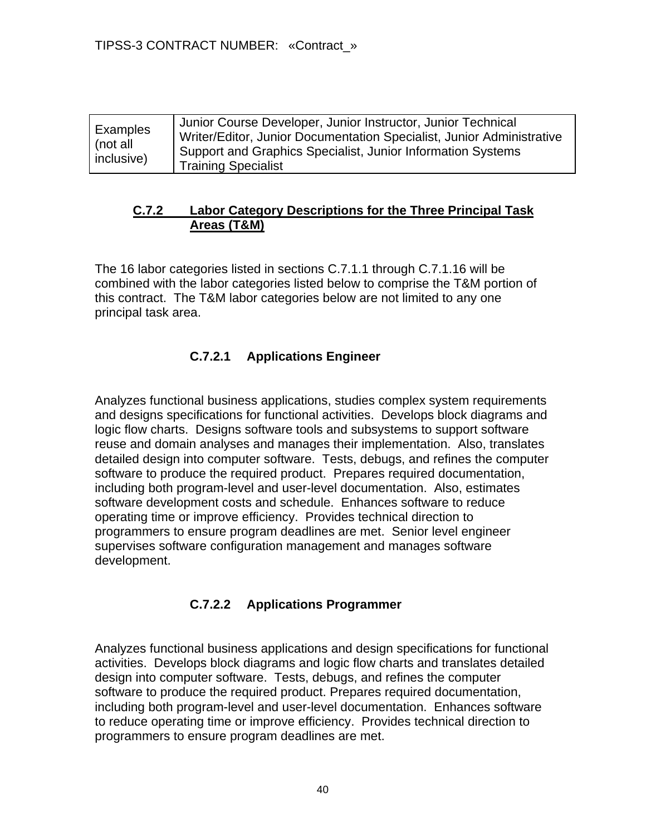| Examples<br>(not all<br>inclusive) | Junior Course Developer, Junior Instructor, Junior Technical<br>Writer/Editor, Junior Documentation Specialist, Junior Administrative<br>Support and Graphics Specialist, Junior Information Systems<br><b>Training Specialist</b> |
|------------------------------------|------------------------------------------------------------------------------------------------------------------------------------------------------------------------------------------------------------------------------------|
|------------------------------------|------------------------------------------------------------------------------------------------------------------------------------------------------------------------------------------------------------------------------------|

#### **C.7.2 Labor Category Descriptions for the Three Principal Task Areas (T&M)**

The 16 labor categories listed in sections C.7.1.1 through C.7.1.16 will be combined with the labor categories listed below to comprise the T&M portion of this contract. The T&M labor categories below are not limited to any one principal task area.

### **C.7.2.1 Applications Engineer**

Analyzes functional business applications, studies complex system requirements and designs specifications for functional activities. Develops block diagrams and logic flow charts. Designs software tools and subsystems to support software reuse and domain analyses and manages their implementation. Also, translates detailed design into computer software. Tests, debugs, and refines the computer software to produce the required product. Prepares required documentation, including both program-level and user-level documentation. Also, estimates software development costs and schedule. Enhances software to reduce operating time or improve efficiency. Provides technical direction to programmers to ensure program deadlines are met. Senior level engineer supervises software configuration management and manages software development.

### **C.7.2.2 Applications Programmer**

Analyzes functional business applications and design specifications for functional activities. Develops block diagrams and logic flow charts and translates detailed design into computer software. Tests, debugs, and refines the computer software to produce the required product. Prepares required documentation, including both program-level and user-level documentation. Enhances software to reduce operating time or improve efficiency. Provides technical direction to programmers to ensure program deadlines are met.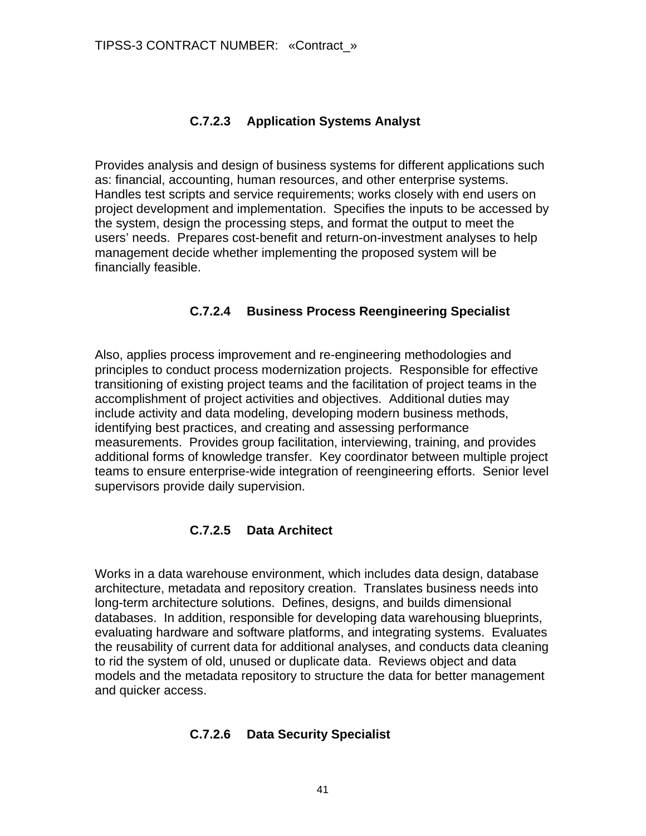### **C.7.2.3 Application Systems Analyst**

Provides analysis and design of business systems for different applications such as: financial, accounting, human resources, and other enterprise systems. Handles test scripts and service requirements; works closely with end users on project development and implementation. Specifies the inputs to be accessed by the system, design the processing steps, and format the output to meet the users' needs. Prepares cost-benefit and return-on-investment analyses to help management decide whether implementing the proposed system will be financially feasible.

### **C.7.2.4 Business Process Reengineering Specialist**

Also, applies process improvement and re-engineering methodologies and principles to conduct process modernization projects. Responsible for effective transitioning of existing project teams and the facilitation of project teams in the accomplishment of project activities and objectives. Additional duties may include activity and data modeling, developing modern business methods, identifying best practices, and creating and assessing performance measurements. Provides group facilitation, interviewing, training, and provides additional forms of knowledge transfer. Key coordinator between multiple project teams to ensure enterprise-wide integration of reengineering efforts. Senior level supervisors provide daily supervision.

# **C.7.2.5 Data Architect**

Works in a data warehouse environment, which includes data design, database architecture, metadata and repository creation. Translates business needs into long-term architecture solutions. Defines, designs, and builds dimensional databases. In addition, responsible for developing data warehousing blueprints, evaluating hardware and software platforms, and integrating systems. Evaluates the reusability of current data for additional analyses, and conducts data cleaning to rid the system of old, unused or duplicate data. Reviews object and data models and the metadata repository to structure the data for better management and quicker access.

### **C.7.2.6 Data Security Specialist**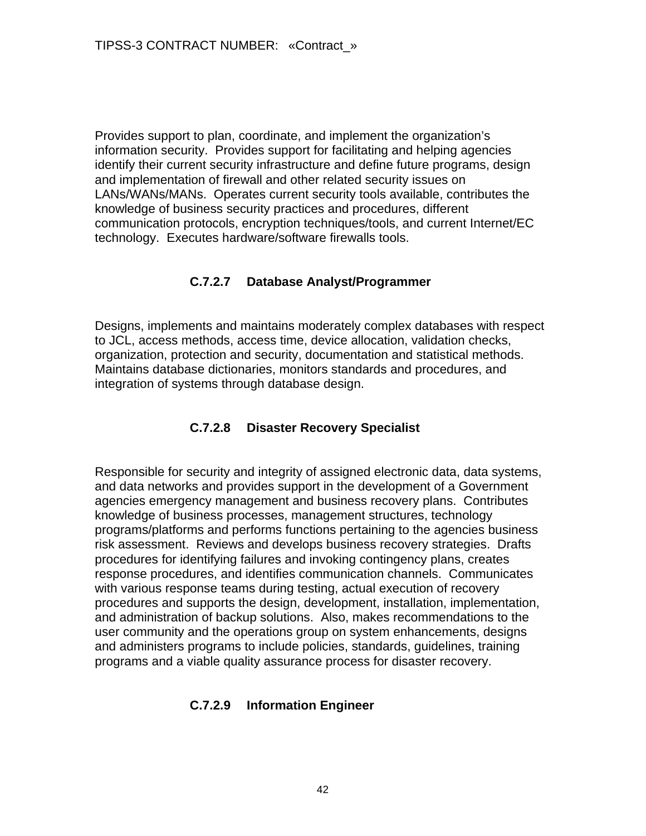Provides support to plan, coordinate, and implement the organization's information security. Provides support for facilitating and helping agencies identify their current security infrastructure and define future programs, design and implementation of firewall and other related security issues on LANs/WANs/MANs. Operates current security tools available, contributes the knowledge of business security practices and procedures, different communication protocols, encryption techniques/tools, and current Internet/EC technology. Executes hardware/software firewalls tools.

### **C.7.2.7 Database Analyst/Programmer**

Designs, implements and maintains moderately complex databases with respect to JCL, access methods, access time, device allocation, validation checks, organization, protection and security, documentation and statistical methods. Maintains database dictionaries, monitors standards and procedures, and integration of systems through database design.

### **C.7.2.8 Disaster Recovery Specialist**

Responsible for security and integrity of assigned electronic data, data systems, and data networks and provides support in the development of a Government agencies emergency management and business recovery plans. Contributes knowledge of business processes, management structures, technology programs/platforms and performs functions pertaining to the agencies business risk assessment. Reviews and develops business recovery strategies. Drafts procedures for identifying failures and invoking contingency plans, creates response procedures, and identifies communication channels. Communicates with various response teams during testing, actual execution of recovery procedures and supports the design, development, installation, implementation, and administration of backup solutions. Also, makes recommendations to the user community and the operations group on system enhancements, designs and administers programs to include policies, standards, guidelines, training programs and a viable quality assurance process for disaster recovery.

### **C.7.2.9 Information Engineer**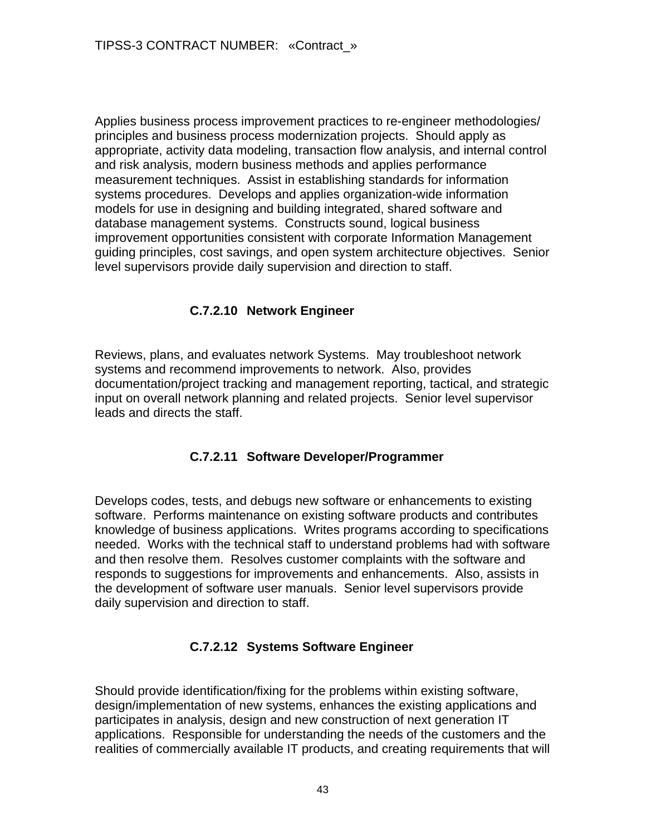Applies business process improvement practices to re-engineer methodologies/ principles and business process modernization projects. Should apply as appropriate, activity data modeling, transaction flow analysis, and internal control and risk analysis, modern business methods and applies performance measurement techniques. Assist in establishing standards for information systems procedures. Develops and applies organization-wide information models for use in designing and building integrated, shared software and database management systems. Constructs sound, logical business improvement opportunities consistent with corporate Information Management guiding principles, cost savings, and open system architecture objectives. Senior level supervisors provide daily supervision and direction to staff.

### **C.7.2.10 Network Engineer**

Reviews, plans, and evaluates network Systems. May troubleshoot network systems and recommend improvements to network. Also, provides documentation/project tracking and management reporting, tactical, and strategic input on overall network planning and related projects. Senior level supervisor leads and directs the staff.

### **C.7.2.11 Software Developer/Programmer**

Develops codes, tests, and debugs new software or enhancements to existing software. Performs maintenance on existing software products and contributes knowledge of business applications. Writes programs according to specifications needed. Works with the technical staff to understand problems had with software and then resolve them. Resolves customer complaints with the software and responds to suggestions for improvements and enhancements. Also, assists in the development of software user manuals. Senior level supervisors provide daily supervision and direction to staff.

### **C.7.2.12 Systems Software Engineer**

Should provide identification/fixing for the problems within existing software, design/implementation of new systems, enhances the existing applications and participates in analysis, design and new construction of next generation IT applications. Responsible for understanding the needs of the customers and the realities of commercially available IT products, and creating requirements that will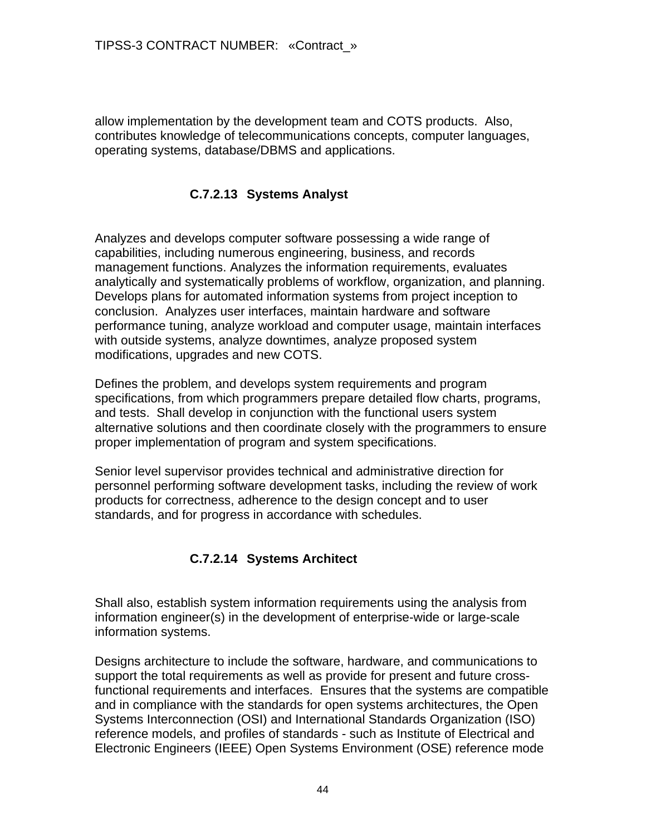allow implementation by the development team and COTS products. Also, contributes knowledge of telecommunications concepts, computer languages, operating systems, database/DBMS and applications.

### **C.7.2.13 Systems Analyst**

Analyzes and develops computer software possessing a wide range of capabilities, including numerous engineering, business, and records management functions. Analyzes the information requirements, evaluates analytically and systematically problems of workflow, organization, and planning. Develops plans for automated information systems from project inception to conclusion. Analyzes user interfaces, maintain hardware and software performance tuning, analyze workload and computer usage, maintain interfaces with outside systems, analyze downtimes, analyze proposed system modifications, upgrades and new COTS.

Defines the problem, and develops system requirements and program specifications, from which programmers prepare detailed flow charts, programs, and tests. Shall develop in conjunction with the functional users system alternative solutions and then coordinate closely with the programmers to ensure proper implementation of program and system specifications.

Senior level supervisor provides technical and administrative direction for personnel performing software development tasks, including the review of work products for correctness, adherence to the design concept and to user standards, and for progress in accordance with schedules.

# **C.7.2.14 Systems Architect**

Shall also, establish system information requirements using the analysis from information engineer(s) in the development of enterprise-wide or large-scale information systems.

Designs architecture to include the software, hardware, and communications to support the total requirements as well as provide for present and future crossfunctional requirements and interfaces. Ensures that the systems are compatible and in compliance with the standards for open systems architectures, the Open Systems Interconnection (OSI) and International Standards Organization (ISO) reference models, and profiles of standards - such as Institute of Electrical and Electronic Engineers (IEEE) Open Systems Environment (OSE) reference mode